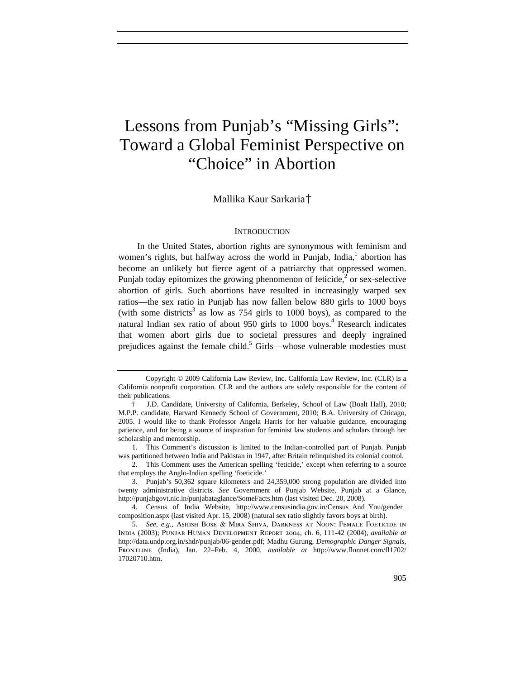# Lessons from Punjab's "Missing Girls": Toward a Global Feminist Perspective on "Choice" in Abortion

# Mallika Kaur Sarkaria†

## **INTRODUCTION**

In the United States, abortion rights are synonymous with feminism and women's rights, but halfway across the world in Punjab, India,<sup>1</sup> abortion has become an unlikely but fierce agent of a patriarchy that oppressed women. Punjab today epitomizes the growing phenomenon of feticide, $2$  or sex-selective abortion of girls. Such abortions have resulted in increasingly warped sex ratios—the sex ratio in Punjab has now fallen below 880 girls to 1000 boys (with some districts<sup>3</sup> as low as 754 girls to 1000 boys), as compared to the natural Indian sex ratio of about 950 girls to 1000 boys.<sup>4</sup> Research indicates that women abort girls due to societal pressures and deeply ingrained prejudices against the female child.<sup>5</sup> Girls—whose vulnerable modesties must

Copyright © 2009 California Law Review, Inc. California Law Review, Inc. (CLR) is a California nonprofit corporation. CLR and the authors are solely responsible for the content of their publications.

<sup>†</sup> J.D. Candidate, University of California, Berkeley, School of Law (Boalt Hall), 2010; M.P.P. candidate, Harvard Kennedy School of Government, 2010; B.A. University of Chicago, 2005. I would like to thank Professor Angela Harris for her valuable guidance, encouraging patience, and for being a source of inspiration for feminist law students and scholars through her scholarship and mentorship.

<sup>1.</sup> This Comment's discussion is limited to the Indian-controlled part of Punjab. Punjab was partitioned between India and Pakistan in 1947, after Britain relinquished its colonial control.

<sup>2.</sup> This Comment uses the American spelling 'feticide,' except when referring to a source that employs the Anglo-Indian spelling 'foeticide.'

<sup>3.</sup> Punjab's 50,362 square kilometers and 24,359,000 strong population are divided into twenty administrative districts. *See* Government of Punjab Website, Punjab at a Glance, http://punjabgovt.nic.in/punjabataglance/SomeFacts.htm (last visited Dec. 20, 2008).

<sup>4.</sup> Census of India Website, http://www.censusindia.gov.in/Census\_And\_You/gender\_ composition.aspx (last visited Apr. 15, 2008) (natural sex ratio slightly favors boys at birth).

<sup>5.</sup> *See, e.g.*, Ashish Bose & Mira Shiva, Darkness at Noon: Female Foeticide in India (2003); Punjab Human Development Report 2004, ch. 6, 111-42 (2004), *available at* http://data.undp.org.in/shdr/punjab/06-gender.pdf; Madhu Gurung, *Demographic Danger Signals*, Frontline (India), Jan. 22–Feb. 4, 2000, *available at* http://www.flonnet.com/fl1702/ 17020710.htm.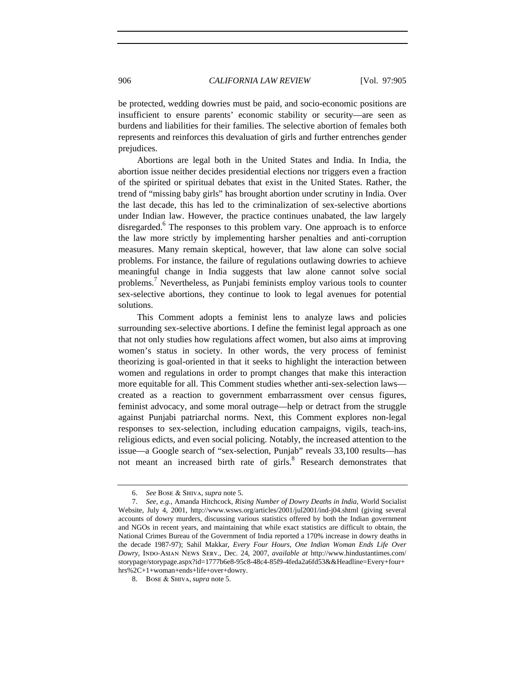be protected, wedding dowries must be paid, and socio-economic positions are insufficient to ensure parents' economic stability or security—are seen as burdens and liabilities for their families. The selective abortion of females both represents and reinforces this devaluation of girls and further entrenches gender prejudices.

Abortions are legal both in the United States and India. In India, the abortion issue neither decides presidential elections nor triggers even a fraction of the spirited or spiritual debates that exist in the United States. Rather, the trend of "missing baby girls" has brought abortion under scrutiny in India. Over the last decade, this has led to the criminalization of sex-selective abortions under Indian law. However, the practice continues unabated, the law largely disregarded.<sup>6</sup> The responses to this problem vary. One approach is to enforce the law more strictly by implementing harsher penalties and anti-corruption measures. Many remain skeptical, however, that law alone can solve social problems. For instance, the failure of regulations outlawing dowries to achieve meaningful change in India suggests that law alone cannot solve social problems.<sup>7</sup> Nevertheless, as Punjabi feminists employ various tools to counter sex-selective abortions, they continue to look to legal avenues for potential solutions.

This Comment adopts a feminist lens to analyze laws and policies surrounding sex-selective abortions. I define the feminist legal approach as one that not only studies how regulations affect women, but also aims at improving women's status in society. In other words, the very process of feminist theorizing is goal-oriented in that it seeks to highlight the interaction between women and regulations in order to prompt changes that make this interaction more equitable for all. This Comment studies whether anti-sex-selection laws created as a reaction to government embarrassment over census figures, feminist advocacy, and some moral outrage—help or detract from the struggle against Punjabi patriarchal norms. Next, this Comment explores non-legal responses to sex-selection, including education campaigns, vigils, teach-ins, religious edicts, and even social policing. Notably, the increased attention to the issue––a Google search of "sex-selection, Punjab" reveals 33,100 results––has not meant an increased birth rate of girls.<sup>8</sup> Research demonstrates that

<sup>6.</sup> *See* Bose & Shiva, *supra* note 5.

<sup>7.</sup> *See, e.g.*, Amanda Hitchcock, *Rising Number of Dowry Deaths in India*, World Socialist Website, July 4, 2001, http://www.wsws.org/articles/2001/jul2001/ind-j04.shtml (giving several accounts of dowry murders, discussing various statistics offered by both the Indian government and NGOs in recent years, and maintaining that while exact statistics are difficult to obtain, the National Crimes Bureau of the Government of India reported a 170% increase in dowry deaths in the decade 1987-97); Sahil Makkar, *Every Four Hours, One Indian Woman Ends Life Over Dowry*, Indo-Asian News Serv., Dec. 24, 2007, *available at* http://www.hindustantimes.com/ storypage/storypage.aspx?id=1777b6e8-95c8-48c4-85f9-4feda2a6fd53&&Headline=Every+four+ hrs%2C+1+woman+ends+life+over+dowry.

<sup>8.</sup> Bose & Shiva, *supra* note 5.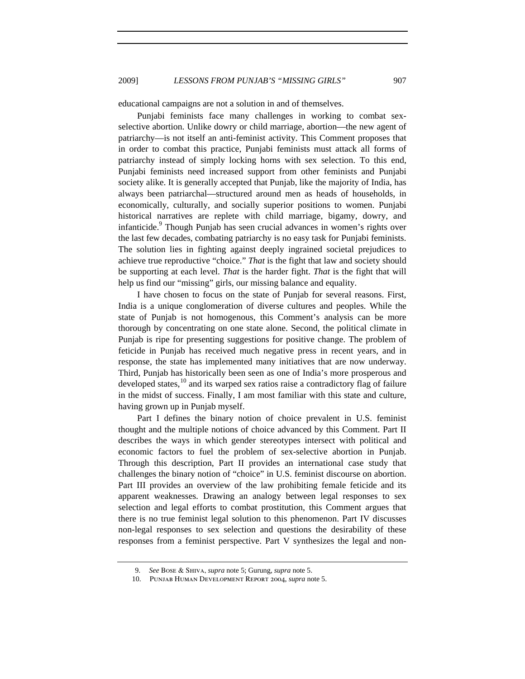educational campaigns are not a solution in and of themselves.

Punjabi feminists face many challenges in working to combat sexselective abortion. Unlike dowry or child marriage, abortion—the new agent of patriarchy—is not itself an anti-feminist activity. This Comment proposes that in order to combat this practice, Punjabi feminists must attack all forms of patriarchy instead of simply locking horns with sex selection. To this end, Punjabi feminists need increased support from other feminists and Punjabi society alike. It is generally accepted that Punjab, like the majority of India, has always been patriarchal—structured around men as heads of households, in economically, culturally, and socially superior positions to women. Punjabi historical narratives are replete with child marriage, bigamy, dowry, and infanticide.<sup>9</sup> Though Punjab has seen crucial advances in women's rights over the last few decades, combating patriarchy is no easy task for Punjabi feminists. The solution lies in fighting against deeply ingrained societal prejudices to achieve true reproductive "choice." *That* is the fight that law and society should be supporting at each level. *That* is the harder fight. *That* is the fight that will help us find our "missing" girls, our missing balance and equality.

I have chosen to focus on the state of Punjab for several reasons. First, India is a unique conglomeration of diverse cultures and peoples. While the state of Punjab is not homogenous, this Comment's analysis can be more thorough by concentrating on one state alone. Second, the political climate in Punjab is ripe for presenting suggestions for positive change. The problem of feticide in Punjab has received much negative press in recent years, and in response, the state has implemented many initiatives that are now underway. Third, Punjab has historically been seen as one of India's more prosperous and developed states,  $^{10}$  and its warped sex ratios raise a contradictory flag of failure in the midst of success. Finally, I am most familiar with this state and culture, having grown up in Punjab myself.

Part I defines the binary notion of choice prevalent in U.S. feminist thought and the multiple notions of choice advanced by this Comment. Part II describes the ways in which gender stereotypes intersect with political and economic factors to fuel the problem of sex-selective abortion in Punjab. Through this description, Part II provides an international case study that challenges the binary notion of "choice" in U.S. feminist discourse on abortion. Part III provides an overview of the law prohibiting female feticide and its apparent weaknesses. Drawing an analogy between legal responses to sex selection and legal efforts to combat prostitution, this Comment argues that there is no true feminist legal solution to this phenomenon. Part IV discusses non-legal responses to sex selection and questions the desirability of these responses from a feminist perspective. Part V synthesizes the legal and non-

 <sup>9.</sup> *See* Bose & Shiva, *supra* note 5; Gurung, *supra* note 5.

<sup>10.</sup> Punjab Human Development Report 2004, *supra* note 5.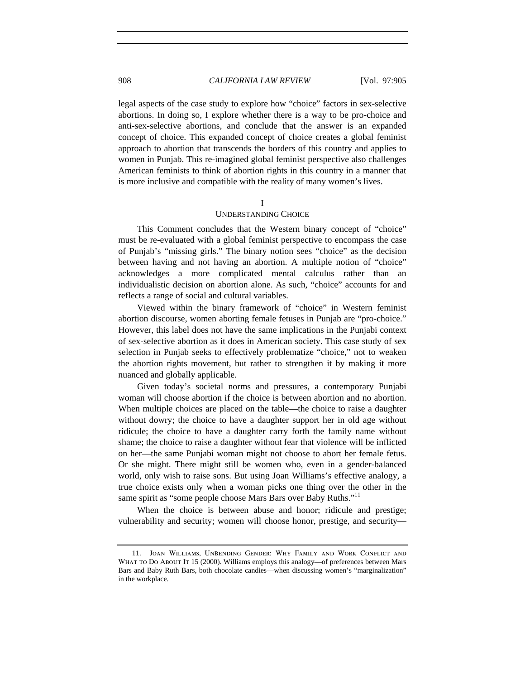legal aspects of the case study to explore how "choice" factors in sex-selective abortions. In doing so, I explore whether there is a way to be pro-choice and anti-sex-selective abortions, and conclude that the answer is an expanded concept of choice. This expanded concept of choice creates a global feminist approach to abortion that transcends the borders of this country and applies to women in Punjab. This re-imagined global feminist perspective also challenges American feminists to think of abortion rights in this country in a manner that is more inclusive and compatible with the reality of many women's lives.

I

#### UNDERSTANDING CHOICE

This Comment concludes that the Western binary concept of "choice" must be re-evaluated with a global feminist perspective to encompass the case of Punjab's "missing girls." The binary notion sees "choice" as the decision between having and not having an abortion. A multiple notion of "choice" acknowledges a more complicated mental calculus rather than an individualistic decision on abortion alone. As such, "choice" accounts for and reflects a range of social and cultural variables.

Viewed within the binary framework of "choice" in Western feminist abortion discourse, women aborting female fetuses in Punjab are "pro-choice." However, this label does not have the same implications in the Punjabi context of sex-selective abortion as it does in American society. This case study of sex selection in Punjab seeks to effectively problematize "choice," not to weaken the abortion rights movement, but rather to strengthen it by making it more nuanced and globally applicable.

Given today's societal norms and pressures, a contemporary Punjabi woman will choose abortion if the choice is between abortion and no abortion. When multiple choices are placed on the table—the choice to raise a daughter without dowry; the choice to have a daughter support her in old age without ridicule; the choice to have a daughter carry forth the family name without shame; the choice to raise a daughter without fear that violence will be inflicted on her—the same Punjabi woman might not choose to abort her female fetus. Or she might. There might still be women who, even in a gender-balanced world, only wish to raise sons. But using Joan Williams's effective analogy, a true choice exists only when a woman picks one thing over the other in the same spirit as "some people choose Mars Bars over Baby Ruths."<sup>11</sup>

When the choice is between abuse and honor; ridicule and prestige; vulnerability and security; women will choose honor, prestige, and security—

<sup>11.</sup> Joan Williams, UnBending Gender: Why Family and Work Conflict and WHAT TO DO ABOUT IT 15 (2000). Williams employs this analogy—of preferences between Mars Bars and Baby Ruth Bars, both chocolate candies—when discussing women's "marginalization" in the workplace.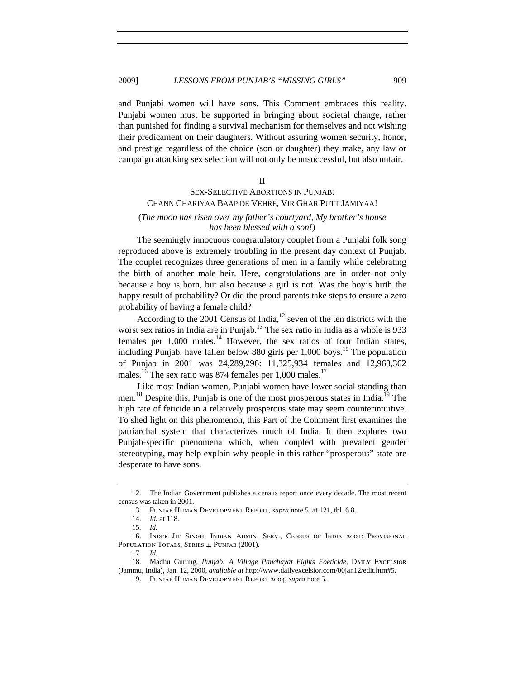and Punjabi women will have sons. This Comment embraces this reality. Punjabi women must be supported in bringing about societal change, rather than punished for finding a survival mechanism for themselves and not wishing their predicament on their daughters. Without assuring women security, honor, and prestige regardless of the choice (son or daughter) they make, any law or campaign attacking sex selection will not only be unsuccessful, but also unfair.

II

# SEX-SELECTIVE ABORTIONS IN PUNJAB: CHANN CHARIYAA BAAP DE VEHRE, VIR GHAR PUTT JAMIYAA!

# (*The moon has risen over my father's courtyard, My brother's house has been blessed with a son!*)

The seemingly innocuous congratulatory couplet from a Punjabi folk song reproduced above is extremely troubling in the present day context of Punjab. The couplet recognizes three generations of men in a family while celebrating the birth of another male heir. Here, congratulations are in order not only because a boy is born, but also because a girl is not. Was the boy's birth the happy result of probability? Or did the proud parents take steps to ensure a zero probability of having a female child?

According to the 2001 Census of India, $^{12}$  seven of the ten districts with the worst sex ratios in India are in Punjab.<sup>13</sup> The sex ratio in India as a whole is 933 females per  $1,000$  males.<sup>14</sup> However, the sex ratios of four Indian states, including Punjab, have fallen below 880 girls per  $1,000$  boys.<sup>15</sup> The population of Punjab in 2001 was 24,289,296: 11,325,934 females and 12,963,362 males.<sup>16</sup> The sex ratio was 874 females per 1,000 males.<sup>17</sup>

Like most Indian women, Punjabi women have lower social standing than men.<sup>18</sup> Despite this, Punjab is one of the most prosperous states in India.<sup>19</sup> The high rate of feticide in a relatively prosperous state may seem counterintuitive. To shed light on this phenomenon, this Part of the Comment first examines the patriarchal system that characterizes much of India. It then explores two Punjab-specific phenomena which, when coupled with prevalent gender stereotyping, may help explain why people in this rather "prosperous" state are desperate to have sons.

<sup>12.</sup> The Indian Government publishes a census report once every decade. The most recent census was taken in 2001.

<sup>13.</sup> Punjab Human Development Report, *supra* note 5, at 121, tbl. 6.8.

<sup>14.</sup> *Id.* at 118.

<sup>15.</sup> *Id.*

<sup>16.</sup> Inder Jit Singh, Indian Admin. Serv., Census of India 2001: Provisional POPULATION TOTALS, SERIES-4, PUNJAB (2001).

<sup>17.</sup> *Id.*

<sup>18.</sup> Madhu Gurung, *Punjab: A Village Panchayat Fights Foeticide*, DAILY EXCELSIOR (Jammu, India), Jan. 12, 2000, *available at* http://www.dailyexcelsior.com/00jan12/edit.htm#5.

<sup>19.</sup> Punjab Human Development Report 2004, *supra* note 5.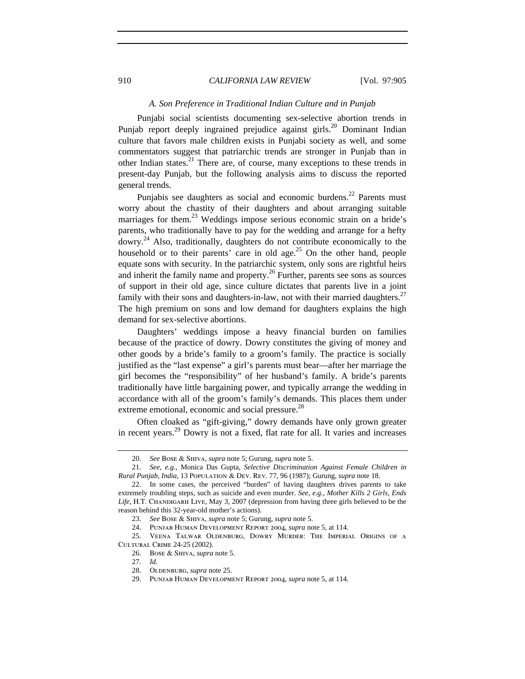#### *A. Son Preference in Traditional Indian Culture and in Punjab*

Punjabi social scientists documenting sex-selective abortion trends in Punjab report deeply ingrained prejudice against girls.<sup>20</sup> Dominant Indian culture that favors male children exists in Punjabi society as well, and some commentators suggest that patriarchic trends are stronger in Punjab than in other Indian states.<sup>21</sup> There are, of course, many exceptions to these trends in present-day Punjab, but the following analysis aims to discuss the reported general trends.

Punjabis see daughters as social and economic burdens.<sup>22</sup> Parents must worry about the chastity of their daughters and about arranging suitable marriages for them.<sup>23</sup> Weddings impose serious economic strain on a bride's parents, who traditionally have to pay for the wedding and arrange for a hefty dowry.<sup>24</sup> Also, traditionally, daughters do not contribute economically to the household or to their parents' care in old age.<sup>25</sup> On the other hand, people equate sons with security. In the patriarchic system, only sons are rightful heirs and inherit the family name and property.<sup>26</sup> Further, parents see sons as sources of support in their old age, since culture dictates that parents live in a joint family with their sons and daughters-in-law, not with their married daughters.<sup>27</sup> The high premium on sons and low demand for daughters explains the high demand for sex-selective abortions.

Daughters' weddings impose a heavy financial burden on families because of the practice of dowry. Dowry constitutes the giving of money and other goods by a bride's family to a groom's family. The practice is socially justified as the "last expense" a girl's parents must bear—after her marriage the girl becomes the "responsibility" of her husband's family. A bride's parents traditionally have little bargaining power, and typically arrange the wedding in accordance with all of the groom's family's demands. This places them under extreme emotional, economic and social pressure.<sup>28</sup>

Often cloaked as "gift-giving," dowry demands have only grown greater in recent years.29 Dowry is not a fixed, flat rate for all. It varies and increases

<sup>20.</sup> *See* Bose & Shiva, *supra* note 5; Gurung, *supra* note 5.

<sup>21.</sup> *See, e.g.*, Monica Das Gupta, *Selective Discrimination Against Female Children in Rural Punjab, India*, 13 Population & Dev. Rev. 77, 96 (1987); Gurung, *supra* note 18.

<sup>22.</sup> In some cases, the perceived "burden" of having daughters drives parents to take extremely troubling steps, such as suicide and even murder. *See, e.g.*, *Mother Kills 2 Girls, Ends*  Life, H.T. CHANDIGARH LIVE, May 3, 2007 (depression from having three girls believed to be the reason behind this 32-year-old mother's actions).

<sup>23.</sup> *See* Bose & Shiva, *supra* note 5; Gurung, *supra* note 5.

<sup>24.</sup> Punjab Human Development Report 2004, *supra* note 5, at 114.

<sup>25.</sup> Veena Talwar Oldenburg, Dowry Murder: The Imperial Origins of a Cultural Crime 24-25 (2002).

<sup>26.</sup> Bose & Shiva, *supra* note 5.

<sup>27.</sup> *Id.*

<sup>28.</sup> OLDENBURG, *supra* note 25.

<sup>29.</sup> Punjab Human Development Report 2004, *supra* note 5, at 114.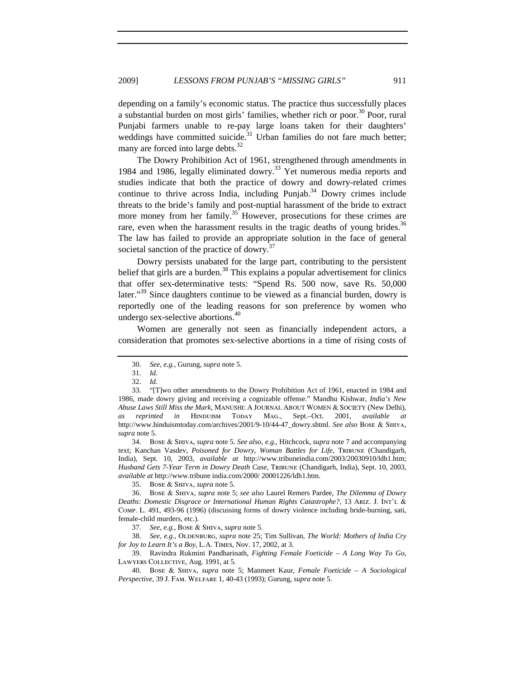depending on a family's economic status. The practice thus successfully places a substantial burden on most girls' families, whether rich or poor.<sup>30</sup> Poor, rural Punjabi farmers unable to re-pay large loans taken for their daughters' weddings have committed suicide.<sup>31</sup> Urban families do not fare much better; many are forced into large debts. $^{32}$ 

The Dowry Prohibition Act of 1961, strengthened through amendments in 1984 and 1986, legally eliminated dowry.<sup>33</sup> Yet numerous media reports and studies indicate that both the practice of dowry and dowry-related crimes continue to thrive across India, including Punjab.<sup>34</sup> Dowry crimes include threats to the bride's family and post-nuptial harassment of the bride to extract more money from her family.<sup>35</sup> However, prosecutions for these crimes are rare, even when the harassment results in the tragic deaths of young brides.<sup>36</sup> The law has failed to provide an appropriate solution in the face of general societal sanction of the practice of dowry.<sup>37</sup>

Dowry persists unabated for the large part, contributing to the persistent belief that girls are a burden.<sup>38</sup> This explains a popular advertisement for clinics that offer sex-determinative tests: "Spend Rs. 500 now, save Rs. 50,000 later."<sup>39</sup> Since daughters continue to be viewed as a financial burden, dowry is reportedly one of the leading reasons for son preference by women who undergo sex-selective abortions.<sup>40</sup>

Women are generally not seen as financially independent actors, a consideration that promotes sex-selective abortions in a time of rising costs of

34. Bose & Shiva, *supra* note 5. *See also*, *e.g.*, Hitchcock, *supra* note 7 and accompanying text; Kanchan Vasdev, Poisoned for Dowry, Woman Battles for Life, TRIBUNE (Chandigarh, India), Sept. 10, 2003, *available at* http://www.tribuneindia.com/2003/20030910/ldh1.htm; *Husband Gets 7-Year Term in Dowry Death Case*, TRIBUNE (Chandigarh, India), Sept. 10, 2003, *available at* http://www.tribune india.com/2000/ 20001226/ldh1.htm.

35. Bose & Shiva, *supra* note 5.

36. Bose & Shiva, *supra* note 5; *see also* Laurel Remers Pardee, *The Dilemma of Dowry Deaths: Domestic Disgrace or International Human Rights Catastrophe?*, 13 ARIZ. J. INT'L & Comp. L. 491, 493-96 (1996) (discussing forms of dowry violence including bride-burning, sati, female-child murders, etc.).

37. *See, e.g.*, Bose & Shiva, *supra* note 5.

38. *See, e.g., OLDENBURG, supra note 25; Tim Sullivan, The World: Mothers of India Cry for Joy to Learn It's a Boy*, L.A. Times, Nov. 17, 2002, at 3.

39. Ravindra Rukmini Pandharinath, *Fighting Female Foeticide – A Long Way To Go*, Lawyers Collective, Aug. 1991, at 5.

40. Bose & Shiva, *supra* note 5; Manmeet Kaur, *Female Foeticide – A Sociological Perspective*, 39 J. Fam. Welfare 1, 40-43 (1993); Gurung, *supra* note 5.

<sup>30.</sup> *See, e.g.*, Gurung, *supra* note 5.

<sup>31.</sup> *Id.*

<sup>32.</sup> *Id.*

<sup>33. &</sup>quot;[T]wo other amendments to the Dowry Prohibition Act of 1961, enacted in 1984 and 1986, made dowry giving and receiving a cognizable offense." Mandhu Kishwar, *India's New Abuse Laws Still Miss the Mark*, MANUSHI: A JOURNAL ABOUT WOMEN & SOCIETY (New Delhi), *as reprinted in* Hinduism Today Mag., Sept.–Oct. 2001, *available at*  http://www.hinduismtoday.com/archives/2001/9-10/44-47\_dowry.shtml. *See also* Bose & Shiva, *supra* note 5.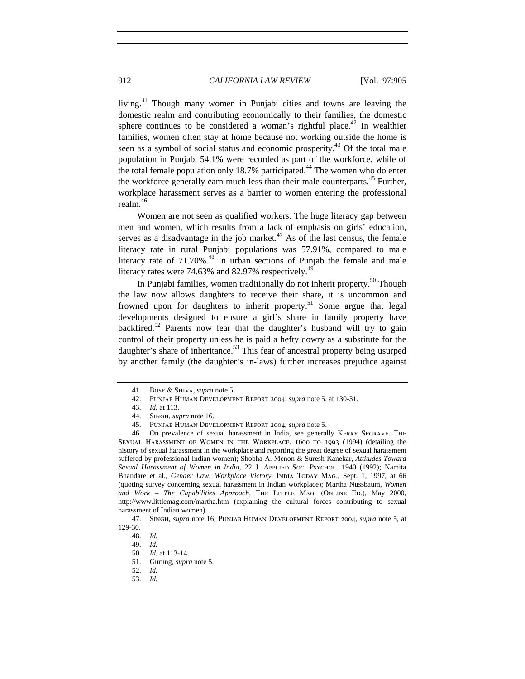living.41 Though many women in Punjabi cities and towns are leaving the domestic realm and contributing economically to their families, the domestic sphere continues to be considered a woman's rightful place.<sup>42</sup> In wealthier families, women often stay at home because not working outside the home is seen as a symbol of social status and economic prosperity.<sup>43</sup> Of the total male population in Punjab, 54.1% were recorded as part of the workforce, while of the total female population only 18.7% participated.<sup>44</sup> The women who do enter the workforce generally earn much less than their male counterparts.<sup>45</sup> Further, workplace harassment serves as a barrier to women entering the professional realm.<sup>46</sup>

Women are not seen as qualified workers. The huge literacy gap between men and women, which results from a lack of emphasis on girls' education, serves as a disadvantage in the job market. $47$  As of the last census, the female literacy rate in rural Punjabi populations was 57.91%, compared to male literacy rate of  $71.70\%$ .<sup>48</sup> In urban sections of Punjab the female and male literacy rates were  $74.63\%$  and  $82.97\%$  respectively.<sup>49</sup>

In Punjabi families, women traditionally do not inherit property.<sup>50</sup> Though the law now allows daughters to receive their share, it is uncommon and frowned upon for daughters to inherit property.<sup>51</sup> Some argue that legal developments designed to ensure a girl's share in family property have backfired.<sup>52</sup> Parents now fear that the daughter's husband will try to gain control of their property unless he is paid a hefty dowry as a substitute for the daughter's share of inheritance.<sup>53</sup> This fear of ancestral property being usurped by another family (the daughter's in-laws) further increases prejudice against

53. *Id.*

<sup>41.</sup> Bose & Shiva, *supra* note 5.

<sup>42.</sup> Punjab Human Development Report 2004, *supra* note 5, at 130-31.

<sup>43.</sup> *Id.* at 113.

<sup>44.</sup> SINGH, *supra* note 16.<br>45. PUNJAB HUMAN DEVE

<sup>45.</sup> Punjab Human Development Report 2004, *supra* note 5.

<sup>46.</sup> On prevalence of sexual harassment in India, see generally Kerry Segrave, The Sexual Harassment of Women in the Workplace, 1600 to 1993 (1994) (detailing the history of sexual harassment in the workplace and reporting the great degree of sexual harassment suffered by professional Indian women); Shobha A. Menon & Suresh Kanekar, *Attitudes Toward*  Sexual Harassment of Women in India, 22 J. APPLIED Soc. Psychol. 1940 (1992); Namita Bhandare et al., *Gender Law: Workplace Victory*, INDIA TODAY MAG., Sept. 1, 1997, at 66 (quoting survey concerning sexual harassment in Indian workplace); Martha Nussbaum, *Women*  and Work - The Capabilities Approach, THE LITTLE MAG. (ONLINE ED.), May 2000, http://www.littlemag.com/martha.htm (explaining the cultural forces contributing to sexual harassment of Indian women).

<sup>47.</sup> Singh, *supra* note 16; Punjab Human Development Report 2004, *supra* note 5, at 129-30.

<sup>48.</sup> *Id.*

<sup>49.</sup> *Id.*

<sup>50.</sup> *Id.* at 113-14.

<sup>51.</sup> Gurung, *supra* note 5.

<sup>52.</sup> *Id.*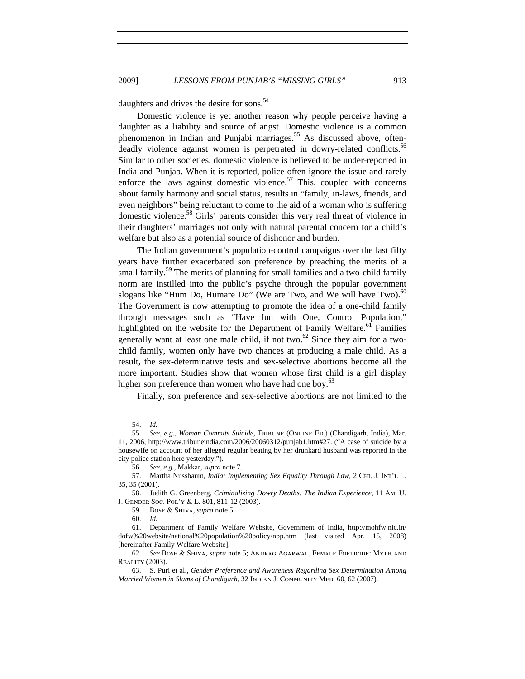daughters and drives the desire for sons.<sup>54</sup>

Domestic violence is yet another reason why people perceive having a daughter as a liability and source of angst. Domestic violence is a common phenomenon in Indian and Punjabi marriages.<sup>55</sup> As discussed above, oftendeadly violence against women is perpetrated in dowry-related conflicts.<sup>56</sup> Similar to other societies, domestic violence is believed to be under-reported in India and Punjab. When it is reported, police often ignore the issue and rarely enforce the laws against domestic violence.<sup>57</sup> This, coupled with concerns about family harmony and social status, results in "family, in-laws, friends, and even neighbors" being reluctant to come to the aid of a woman who is suffering domestic violence.<sup>58</sup> Girls' parents consider this very real threat of violence in their daughters' marriages not only with natural parental concern for a child's welfare but also as a potential source of dishonor and burden.

The Indian government's population-control campaigns over the last fifty years have further exacerbated son preference by preaching the merits of a small family.<sup>59</sup> The merits of planning for small families and a two-child family norm are instilled into the public's psyche through the popular government slogans like "Hum Do, Humare Do" (We are Two, and We will have Two).  $60^{\circ}$ The Government is now attempting to promote the idea of a one-child family through messages such as "Have fun with One, Control Population," highlighted on the website for the Department of Family Welfare.<sup>61</sup> Families generally want at least one male child, if not two.<sup>62</sup> Since they aim for a twochild family, women only have two chances at producing a male child. As a result, the sex-determinative tests and sex-selective abortions become all the more important. Studies show that women whose first child is a girl display higher son preference than women who have had one boy.<sup>63</sup>

Finally, son preference and sex-selective abortions are not limited to the

60. *Id.*

<sup>54.</sup> *Id.*

<sup>55.</sup> *See, e.g.*, *Woman Commits Suicide*, Tribune (Online Ed.) (Chandigarh, India), Mar.

<sup>11, 2006,</sup> http://www.tribuneindia.com/2006/20060312/punjab1.htm#27. ("A case of suicide by a housewife on account of her alleged regular beating by her drunkard husband was reported in the city police station here yesterday.").

<sup>56.</sup> *See, e.g.*, Makkar, *supra* note 7.

<sup>57.</sup> Martha Nussbaum, *India: Implementing Sex Equality Through Law*, 2 Chi. J. Int'l L. 35, 35 (2001).

<sup>58.</sup> Judith G. Greenberg, *Criminalizing Dowry Deaths: The Indian Experience*, 11 Am. U. J. Gender Soc. Pol'y & L. 801, 811-12 (2003).

<sup>59.</sup> Bose & Shiva, *supra* note 5.

<sup>61.</sup> Department of Family Welfare Website, Government of India, http://mohfw.nic.in/ dofw%20website/national%20population%20policy/npp.htm (last visited Apr. 15, 2008) [hereinafter Family Welfare Website].

<sup>62.</sup> *See* Bose & Shiva, *supra* note 5; Anurag Agarwal, Female Foeticide: Myth and Reality (2003).

<sup>63.</sup> S. Puri et al., *Gender Preference and Awareness Regarding Sex Determination Among Married Women in Slums of Chandigarh*, 32 Indian J. Community Med. 60, 62 (2007).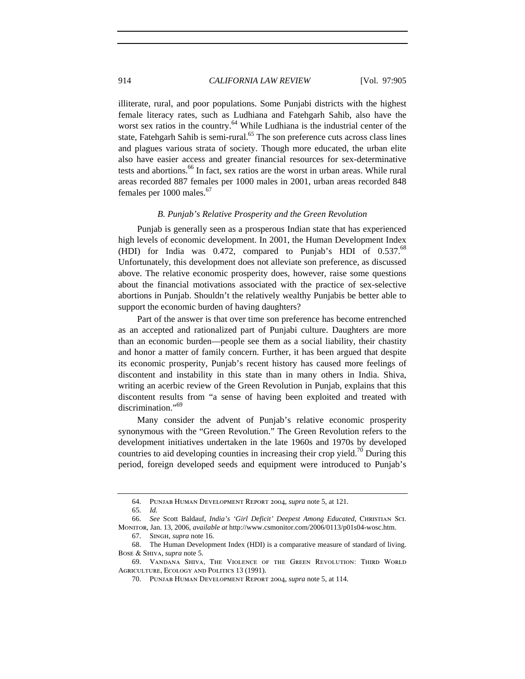illiterate, rural, and poor populations. Some Punjabi districts with the highest female literacy rates, such as Ludhiana and Fatehgarh Sahib, also have the worst sex ratios in the country.<sup>64</sup> While Ludhiana is the industrial center of the state, Fatehgarh Sahib is semi-rural.<sup>65</sup> The son preference cuts across class lines and plagues various strata of society. Though more educated, the urban elite also have easier access and greater financial resources for sex-determinative tests and abortions.<sup>66</sup> In fact, sex ratios are the worst in urban areas. While rural areas recorded 887 females per 1000 males in 2001, urban areas recorded 848 females per  $1000$  males.<sup>67</sup>

#### *B. Punjab's Relative Prosperity and the Green Revolution*

Punjab is generally seen as a prosperous Indian state that has experienced high levels of economic development. In 2001, the Human Development Index (HDI) for India was 0.472, compared to Punjab's HDI of  $0.537.^{68}$ Unfortunately, this development does not alleviate son preference, as discussed above. The relative economic prosperity does, however, raise some questions about the financial motivations associated with the practice of sex-selective abortions in Punjab. Shouldn't the relatively wealthy Punjabis be better able to support the economic burden of having daughters?

Part of the answer is that over time son preference has become entrenched as an accepted and rationalized part of Punjabi culture. Daughters are more than an economic burden—people see them as a social liability, their chastity and honor a matter of family concern. Further, it has been argued that despite its economic prosperity, Punjab's recent history has caused more feelings of discontent and instability in this state than in many others in India. Shiva, writing an acerbic review of the Green Revolution in Punjab, explains that this discontent results from "a sense of having been exploited and treated with discrimination."<sup>69</sup>

Many consider the advent of Punjab's relative economic prosperity synonymous with the "Green Revolution." The Green Revolution refers to the development initiatives undertaken in the late 1960s and 1970s by developed countries to aid developing counties in increasing their crop yield.<sup>70</sup> During this period, foreign developed seeds and equipment were introduced to Punjab's

<sup>64.</sup> Punjab Human Development Report 2004, *supra* note 5, at 121.

<sup>65.</sup> *Id.*

<sup>66.</sup> *See* Scott Baldauf, *India's 'Girl Deficit' Deepest Among Educated*, Christian Sci. Monitor, Jan. 13, 2006, *available at* http://www.csmonitor.com/2006/0113/p01s04-wosc.htm.

<sup>67.</sup> Singh, *supra* note 16.

<sup>68.</sup> The Human Development Index (HDI) is a comparative measure of standard of living. Bose & Shiva, *supra* note 5.

<sup>69.</sup> Vandana Shiva, The Violence of the Green Revolution: Third World Agriculture, Ecology and Politics 13 (1991).

<sup>70.</sup> Punjab Human Development Report 2004, *supra* note 5, at 114.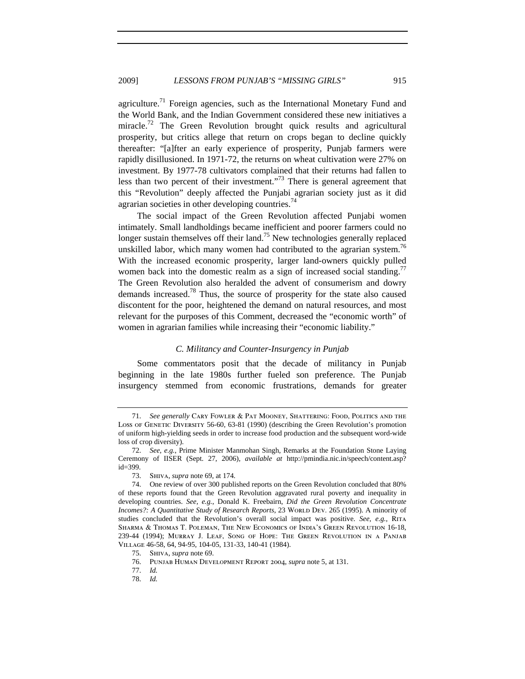agriculture.<sup>71</sup> Foreign agencies, such as the International Monetary Fund and the World Bank, and the Indian Government considered these new initiatives a miracle.<sup>72</sup> The Green Revolution brought quick results and agricultural prosperity, but critics allege that return on crops began to decline quickly thereafter: "[a]fter an early experience of prosperity, Punjab farmers were rapidly disillusioned. In 1971-72, the returns on wheat cultivation were 27% on investment. By 1977-78 cultivators complained that their returns had fallen to less than two percent of their investment. $1.73$  There is general agreement that this "Revolution" deeply affected the Punjabi agrarian society just as it did agrarian societies in other developing countries.<sup>74</sup>

The social impact of the Green Revolution affected Punjabi women intimately. Small landholdings became inefficient and poorer farmers could no longer sustain themselves off their land.<sup>75</sup> New technologies generally replaced unskilled labor, which many women had contributed to the agrarian system.<sup>76</sup> With the increased economic prosperity, larger land-owners quickly pulled women back into the domestic realm as a sign of increased social standing.<sup>77</sup> The Green Revolution also heralded the advent of consumerism and dowry demands increased.78 Thus, the source of prosperity for the state also caused discontent for the poor, heightened the demand on natural resources, and most relevant for the purposes of this Comment, decreased the "economic worth" of women in agrarian families while increasing their "economic liability."

#### *C. Militancy and Counter-Insurgency in Punjab*

Some commentators posit that the decade of militancy in Punjab beginning in the late 1980s further fueled son preference. The Punjab insurgency stemmed from economic frustrations, demands for greater

- 77. *Id.*
- 78. *Id.*

<sup>71.</sup> *See generally* Cary Fowler & Pat Mooney, Shattering: Food, Politics and the Loss of GENETIC DIVERSITY 56-60, 63-81 (1990) (describing the Green Revolution's promotion of uniform high-yielding seeds in order to increase food production and the subsequent word-wide loss of crop diversity).

<sup>72.</sup> *See, e.g.*, Prime Minister Manmohan Singh, Remarks at the Foundation Stone Laying Ceremony of IISER (Sept. 27, 2006), *available at* http://pmindia.nic.in/speech/content.asp? id=399.

<sup>73.</sup> Shiva, *supra* note 69, at 174.

<sup>74.</sup> One review of over 300 published reports on the Green Revolution concluded that 80% of these reports found that the Green Revolution aggravated rural poverty and inequality in developing countries. *See, e.g.*, Donald K. Freebairn, *Did the Green Revolution Concentrate*  Incomes?: A Quantitative Study of Research Reports, 23 World Dev. 265 (1995). A minority of studies concluded that the Revolution's overall social impact was positive. *See, e.g.*, Rita Sharma & Thomas T. Poleman, The New Economics of India's Green Revolution 16-18, 239-44 (1994); Murray J. Leaf, Song of Hope: The Green Revolution in a Panjab Village 46-58, 64, 94-95, 104-05, 131-33, 140-41 (1984).

<sup>75.</sup> Shiva, *supra* note 69.

<sup>76.</sup> Punjab Human Development Report 2004, *supra* note 5, at 131.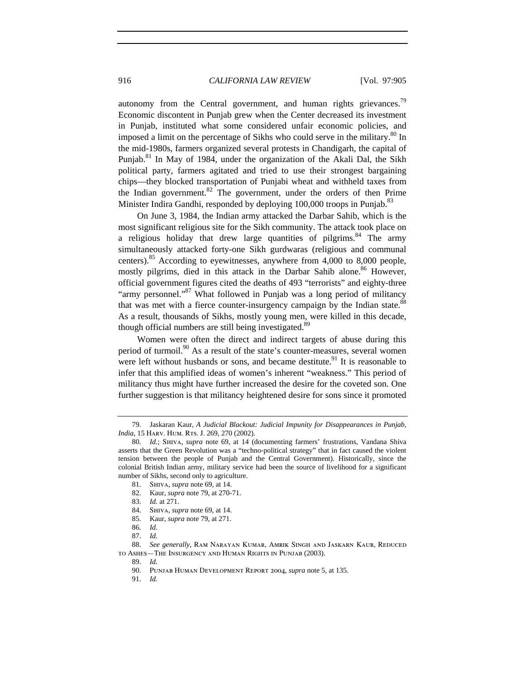autonomy from the Central government, and human rights grievances.<sup>79</sup> Economic discontent in Punjab grew when the Center decreased its investment in Punjab, instituted what some considered unfair economic policies, and imposed a limit on the percentage of Sikhs who could serve in the military.<sup>80</sup> In the mid-1980s, farmers organized several protests in Chandigarh, the capital of Punjab.<sup>81</sup> In May of 1984, under the organization of the Akali Dal, the Sikh political party, farmers agitated and tried to use their strongest bargaining chips—they blocked transportation of Punjabi wheat and withheld taxes from the Indian government.<sup>82</sup> The government, under the orders of then Prime Minister Indira Gandhi, responded by deploying 100,000 troops in Punjab.<sup>83</sup>

On June 3, 1984, the Indian army attacked the Darbar Sahib, which is the most significant religious site for the Sikh community. The attack took place on a religious holiday that drew large quantities of pilgrims. $84$  The army simultaneously attacked forty-one Sikh gurdwaras (religious and communal centers).<sup>85</sup> According to eyewitnesses, anywhere from  $4,000$  to  $8,000$  people, mostly pilgrims, died in this attack in the Darbar Sahib alone.<sup>86</sup> However, official government figures cited the deaths of 493 "terrorists" and eighty-three "army personnel."<sup>87</sup> What followed in Punjab was a long period of militancy that was met with a fierce counter-insurgency campaign by the Indian state.<sup>88</sup> As a result, thousands of Sikhs, mostly young men, were killed in this decade, though official numbers are still being investigated.<sup>89</sup>

Women were often the direct and indirect targets of abuse during this period of turmoil. $90$  As a result of the state's counter-measures, several women were left without husbands or sons, and became destitute.<sup>91</sup> It is reasonable to infer that this amplified ideas of women's inherent "weakness." This period of militancy thus might have further increased the desire for the coveted son. One further suggestion is that militancy heightened desire for sons since it promoted

85. Kaur, *supra* note 79, at 271.

<sup>79.</sup> Jaskaran Kaur, *A Judicial Blackout: Judicial Impunity for Disappearances in Punjab, India*, 15 HARV. HUM. RTS. J. 269, 270 (2002).

<sup>80.</sup> *Id.*; Shiva, *supra* note 69, at 14 (documenting farmers' frustrations, Vandana Shiva asserts that the Green Revolution was a "techno-political strategy" that in fact caused the violent tension between the people of Punjab and the Central Government). Historically, since the colonial British Indian army, military service had been the source of livelihood for a significant number of Sikhs, second only to agriculture.

<sup>81.</sup> Shiva, *supra* note 69, at 14.

<sup>82.</sup> Kaur, *supra* note 79, at 270-71.

<sup>83.</sup> *Id.* at 271.

<sup>84.</sup> Shiva, *supra* note 69, at 14.

<sup>86.</sup> *Id.*

<sup>87.</sup> *Id.*

<sup>88.</sup> *See generally*, Ram Narayan Kumar, Amrik Singh and Jaskarn Kaur, Reduced to Ashes—The Insurgency and Human Rights in Punjab (2003).

<sup>89.</sup> *Id.*

<sup>90.</sup> Punjab Human Development Report 2004, *supra* note 5, at 135.

<sup>91.</sup> *Id.*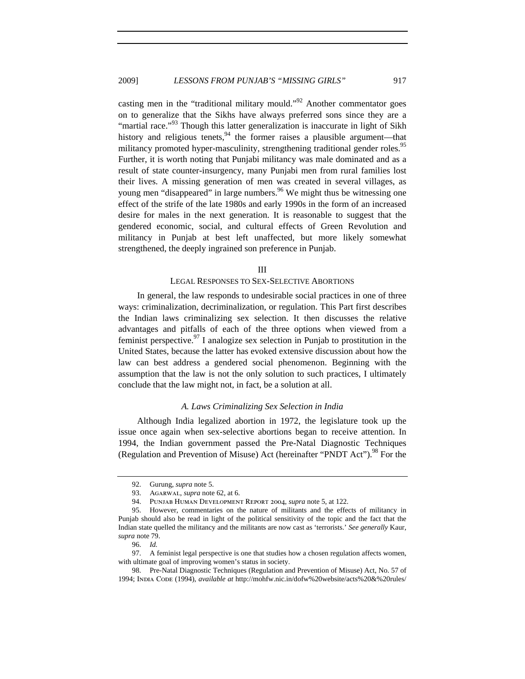casting men in the "traditional military mould."<sup>92</sup> Another commentator goes on to generalize that the Sikhs have always preferred sons since they are a "martial race."<sup>93</sup> Though this latter generalization is inaccurate in light of Sikh history and religious tenets, $94$  the former raises a plausible argument—that militancy promoted hyper-masculinity, strengthening traditional gender roles.<sup>95</sup> Further, it is worth noting that Punjabi militancy was male dominated and as a result of state counter-insurgency, many Punjabi men from rural families lost their lives. A missing generation of men was created in several villages, as young men "disappeared" in large numbers.<sup>96</sup> We might thus be witnessing one effect of the strife of the late 1980s and early 1990s in the form of an increased desire for males in the next generation. It is reasonable to suggest that the gendered economic, social, and cultural effects of Green Revolution and militancy in Punjab at best left unaffected, but more likely somewhat strengthened, the deeply ingrained son preference in Punjab.

#### III

#### LEGAL RESPONSES TO SEX-SELECTIVE ABORTIONS

In general, the law responds to undesirable social practices in one of three ways: criminalization, decriminalization, or regulation. This Part first describes the Indian laws criminalizing sex selection. It then discusses the relative advantages and pitfalls of each of the three options when viewed from a feminist perspective.<sup>97</sup> I analogize sex selection in Punjab to prostitution in the United States, because the latter has evoked extensive discussion about how the law can best address a gendered social phenomenon. Beginning with the assumption that the law is not the only solution to such practices, I ultimately conclude that the law might not, in fact, be a solution at all.

#### *A. Laws Criminalizing Sex Selection in India*

Although India legalized abortion in 1972, the legislature took up the issue once again when sex-selective abortions began to receive attention. In 1994, the Indian government passed the Pre-Natal Diagnostic Techniques (Regulation and Prevention of Misuse) Act (hereinafter "PNDT Act").<sup>98</sup> For the

96. *Id.*

<sup>92.</sup> Gurung, *supra* note 5.

<sup>93.</sup> Agarwal, *supra* note 62, at 6.

<sup>94.</sup> Punjab Human Development Report 2004, *supra* note 5, at 122.

<sup>95.</sup> However, commentaries on the nature of militants and the effects of militancy in Punjab should also be read in light of the political sensitivity of the topic and the fact that the Indian state quelled the militancy and the militants are now cast as 'terrorists.' *See generally* Kaur, *supra* note 79.

<sup>97.</sup> A feminist legal perspective is one that studies how a chosen regulation affects women, with ultimate goal of improving women's status in society.

<sup>98.</sup> Pre-Natal Diagnostic Techniques (Regulation and Prevention of Misuse) Act, No. 57 of 1994; India Code (1994), *available at* http://mohfw.nic.in/dofw%20website/acts%20&%20rules/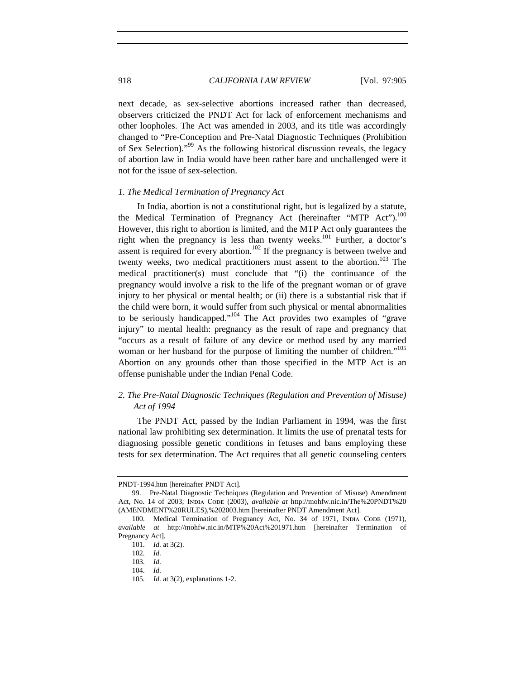next decade, as sex-selective abortions increased rather than decreased, observers criticized the PNDT Act for lack of enforcement mechanisms and other loopholes. The Act was amended in 2003, and its title was accordingly changed to "Pre-Conception and Pre-Natal Diagnostic Techniques (Prohibition of Sex Selection)."99 As the following historical discussion reveals, the legacy of abortion law in India would have been rather bare and unchallenged were it not for the issue of sex-selection.

#### *1. The Medical Termination of Pregnancy Act*

In India, abortion is not a constitutional right, but is legalized by a statute, the Medical Termination of Pregnancy Act (hereinafter "MTP Act"). $^{100}$ However, this right to abortion is limited, and the MTP Act only guarantees the right when the pregnancy is less than twenty weeks.<sup>101</sup> Further, a doctor's assent is required for every abortion.<sup>102</sup> If the pregnancy is between twelve and twenty weeks, two medical practitioners must assent to the abortion.<sup>103</sup> The medical practitioner(s) must conclude that "(i) the continuance of the pregnancy would involve a risk to the life of the pregnant woman or of grave injury to her physical or mental health; or (ii) there is a substantial risk that if the child were born, it would suffer from such physical or mental abnormalities to be seriously handicapped." $104$  The Act provides two examples of "grave injury" to mental health: pregnancy as the result of rape and pregnancy that "occurs as a result of failure of any device or method used by any married woman or her husband for the purpose of limiting the number of children."<sup>105</sup> Abortion on any grounds other than those specified in the MTP Act is an offense punishable under the Indian Penal Code.

# *2. The Pre-Natal Diagnostic Techniques (Regulation and Prevention of Misuse) Act of 1994*

The PNDT Act, passed by the Indian Parliament in 1994, was the first national law prohibiting sex determination. It limits the use of prenatal tests for diagnosing possible genetic conditions in fetuses and bans employing these tests for sex determination. The Act requires that all genetic counseling centers

PNDT-1994.htm [hereinafter PNDT Act].

<sup>99.</sup> Pre-Natal Diagnostic Techniques (Regulation and Prevention of Misuse) Amendment Act, No. 14 of 2003; INDIA CODE (2003), *available at http://mohfw.nic.in/The%20PNDT%20* (AMENDMENT%20RULES),%202003.htm [hereinafter PNDT Amendment Act].

<sup>100.</sup> Medical Termination of Pregnancy Act, No. 34 of 1971, INDIA CODE (1971), *available at* http://mohfw.nic.in/MTP%20Act%201971.htm [hereinafter Termination of Pregnancy Act].

<sup>101.</sup> *Id.* at 3(2).

<sup>102.</sup> *Id.*

<sup>103.</sup> *Id.*

<sup>104.</sup> *Id.*

<sup>105.</sup> *Id.* at 3(2), explanations 1-2.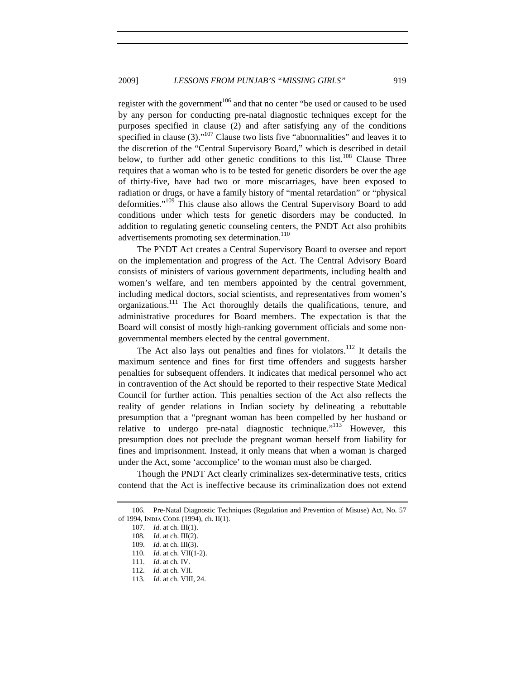register with the government<sup>106</sup> and that no center "be used or caused to be used by any person for conducting pre-natal diagnostic techniques except for the purposes specified in clause (2) and after satisfying any of the conditions specified in clause  $(3)$ ."<sup>107</sup> Clause two lists five "abnormalities" and leaves it to the discretion of the "Central Supervisory Board," which is described in detail below, to further add other genetic conditions to this  $list.^{108}$  Clause Three requires that a woman who is to be tested for genetic disorders be over the age of thirty-five, have had two or more miscarriages, have been exposed to radiation or drugs, or have a family history of "mental retardation" or "physical deformities."<sup>109</sup> This clause also allows the Central Supervisory Board to add conditions under which tests for genetic disorders may be conducted. In addition to regulating genetic counseling centers, the PNDT Act also prohibits advertisements promoting sex determination.<sup>110</sup>

The PNDT Act creates a Central Supervisory Board to oversee and report on the implementation and progress of the Act. The Central Advisory Board consists of ministers of various government departments, including health and women's welfare, and ten members appointed by the central government, including medical doctors, social scientists, and representatives from women's organizations.<sup>111</sup> The Act thoroughly details the qualifications, tenure, and administrative procedures for Board members. The expectation is that the Board will consist of mostly high-ranking government officials and some nongovernmental members elected by the central government.

The Act also lays out penalties and fines for violators.<sup>112</sup> It details the maximum sentence and fines for first time offenders and suggests harsher penalties for subsequent offenders. It indicates that medical personnel who act in contravention of the Act should be reported to their respective State Medical Council for further action. This penalties section of the Act also reflects the reality of gender relations in Indian society by delineating a rebuttable presumption that a "pregnant woman has been compelled by her husband or relative to undergo pre-natal diagnostic technique."<sup>113</sup> However, this presumption does not preclude the pregnant woman herself from liability for fines and imprisonment. Instead, it only means that when a woman is charged under the Act, some 'accomplice' to the woman must also be charged.

Though the PNDT Act clearly criminalizes sex-determinative tests, critics contend that the Act is ineffective because its criminalization does not extend

<sup>106.</sup> Pre-Natal Diagnostic Techniques (Regulation and Prevention of Misuse) Act, No. 57 of 1994, India Code (1994), ch. II(1).

<sup>107.</sup> *Id.* at ch. III(1).

<sup>108.</sup> *Id.* at ch. III(2).

<sup>109.</sup> *Id.* at ch. III(3).

<sup>110.</sup> *Id.* at ch. VII(1-2).

<sup>111.</sup> *Id.* at ch. IV.

<sup>112.</sup> *Id.* at ch. VII.

<sup>113.</sup> *Id.* at ch. VIII, 24.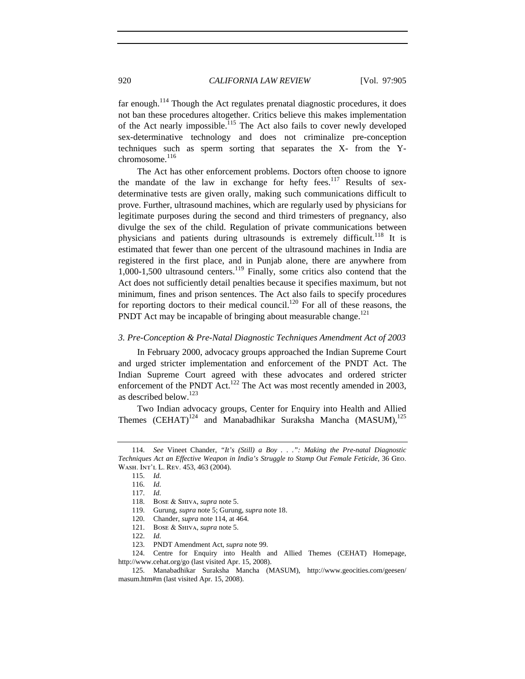far enough.<sup>114</sup> Though the Act regulates prenatal diagnostic procedures, it does not ban these procedures altogether. Critics believe this makes implementation of the Act nearly impossible.<sup>115</sup> The Act also fails to cover newly developed sex-determinative technology and does not criminalize pre-conception techniques such as sperm sorting that separates the X- from the Ychromosome.<sup>116</sup>

The Act has other enforcement problems. Doctors often choose to ignore the mandate of the law in exchange for hefty fees.<sup>117</sup> Results of sexdeterminative tests are given orally, making such communications difficult to prove. Further, ultrasound machines, which are regularly used by physicians for legitimate purposes during the second and third trimesters of pregnancy, also divulge the sex of the child. Regulation of private communications between physicians and patients during ultrasounds is extremely difficult.<sup>118</sup> It is estimated that fewer than one percent of the ultrasound machines in India are registered in the first place, and in Punjab alone, there are anywhere from  $1,000-1,500$  ultrasound centers.<sup>119</sup> Finally, some critics also contend that the Act does not sufficiently detail penalties because it specifies maximum, but not minimum, fines and prison sentences. The Act also fails to specify procedures for reporting doctors to their medical council.<sup>120</sup> For all of these reasons, the PNDT Act may be incapable of bringing about measurable change.<sup>121</sup>

#### *3. Pre-Conception & Pre-Natal Diagnostic Techniques Amendment Act of 2003*

In February 2000, advocacy groups approached the Indian Supreme Court and urged stricter implementation and enforcement of the PNDT Act. The Indian Supreme Court agreed with these advocates and ordered stricter enforcement of the PNDT Act.<sup>122</sup> The Act was most recently amended in 2003, as described below.<sup>123</sup>

Two Indian advocacy groups, Center for Enquiry into Health and Allied Themes  $(CEHAT)^{124}$  and Manabadhikar Suraksha Mancha (MASUM), $^{125}$ 

120. Chander, *supra* note 114, at 464.

124. Centre for Enquiry into Health and Allied Themes (CEHAT) Homepage, http://www.cehat.org/go (last visited Apr. 15, 2008).

<sup>114.</sup> *See* Vineet Chander, *"It's (Still) a Boy . . .": Making the Pre-natal Diagnostic Techniques Act an Effective Weapon in India's Struggle to Stamp Out Female Feticide*, 36 Geo. Wash. Int'l L. Rev. 453, 463 (2004).

<sup>115.</sup> *Id.*

<sup>116.</sup> *Id.*

<sup>117.</sup> *Id.*

<sup>118.</sup> Bose & Shiva, *supra* note 5.

<sup>119.</sup> Gurung, *supra* note 5; Gurung, *supra* note 18.

<sup>121.</sup> Bose & Shiva, *supra* note 5.

<sup>122.</sup> *Id.*

<sup>123.</sup> PNDT Amendment Act, *supra* note 99.

<sup>125.</sup> Manabadhikar Suraksha Mancha (MASUM), http://www.geocities.com/geesen/ masum.htm#m (last visited Apr. 15, 2008).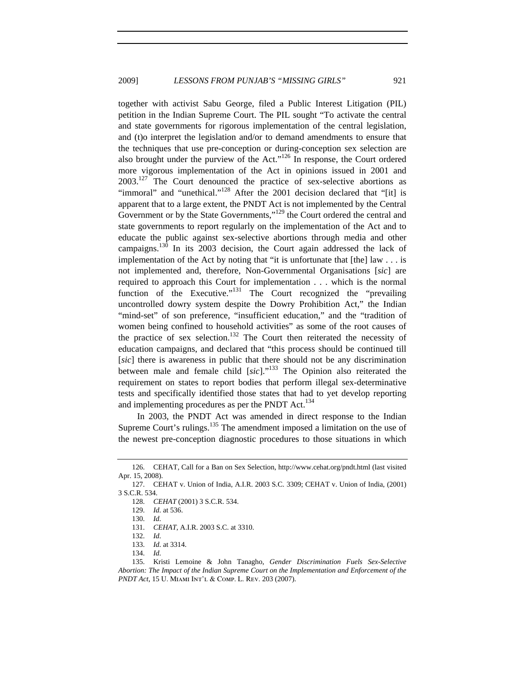together with activist Sabu George, filed a Public Interest Litigation (PIL) petition in the Indian Supreme Court. The PIL sought "To activate the central and state governments for rigorous implementation of the central legislation, and (t)o interpret the legislation and/or to demand amendments to ensure that the techniques that use pre-conception or during-conception sex selection are also brought under the purview of the Act."126 In response, the Court ordered more vigorous implementation of the Act in opinions issued in 2001 and  $2003$ <sup>127</sup>. The Court denounced the practice of sex-selective abortions as "immoral" and "unethical."<sup>128</sup> After the 2001 decision declared that "[it] is apparent that to a large extent, the PNDT Act is not implemented by the Central Government or by the State Governments,"<sup>129</sup> the Court ordered the central and state governments to report regularly on the implementation of the Act and to educate the public against sex-selective abortions through media and other campaigns.<sup>130</sup> In its 2003 decision, the Court again addressed the lack of implementation of the Act by noting that "it is unfortunate that  $[the]$  law  $\dots$  is not implemented and, therefore, Non-Governmental Organisations [*sic*] are required to approach this Court for implementation . . . which is the normal function of the Executive."<sup>131</sup> The Court recognized the "prevailing" uncontrolled dowry system despite the Dowry Prohibition Act," the Indian "mind-set" of son preference, "insufficient education," and the "tradition of women being confined to household activities" as some of the root causes of the practice of sex selection.<sup>132</sup> The Court then reiterated the necessity of education campaigns, and declared that "this process should be continued till [*sic*] there is awareness in public that there should not be any discrimination between male and female child [*sic*]."133 The Opinion also reiterated the requirement on states to report bodies that perform illegal sex-determinative tests and specifically identified those states that had to yet develop reporting and implementing procedures as per the PNDT Act.<sup>134</sup>

In 2003, the PNDT Act was amended in direct response to the Indian Supreme Court's rulings.<sup>135</sup> The amendment imposed a limitation on the use of the newest pre-conception diagnostic procedures to those situations in which

134. *Id.*

<sup>126.</sup> CEHAT, Call for a Ban on Sex Selection, http://www.cehat.org/pndt.html (last visited Apr. 15, 2008).

<sup>127.</sup> CEHAT v. Union of India, A.I.R. 2003 S.C. 3309; CEHAT v. Union of India, (2001) 3 S.C.R. 534.

<sup>128.</sup> *CEHAT* (2001) 3 S.C.R. 534.

<sup>129.</sup> *Id.* at 536.

<sup>130.</sup> *Id.*

<sup>131.</sup> *CEHAT*, A.I.R. 2003 S.C. at 3310.

<sup>132.</sup> *Id.*

<sup>133.</sup> *Id.* at 3314.

<sup>135.</sup> Kristi Lemoine & John Tanagho, *Gender Discrimination Fuels Sex-Selective Abortion: The Impact of the Indian Supreme Court on the Implementation and Enforcement of the PNDT Act*, 15 U. Miami Int'l & Comp. L. Rev. 203 (2007).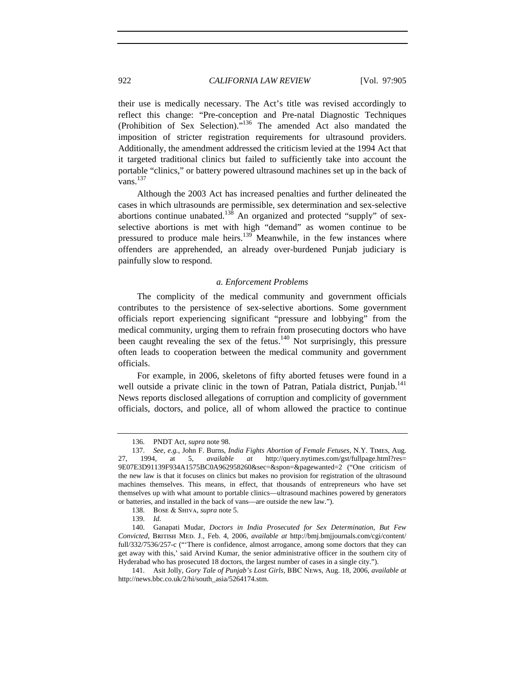their use is medically necessary. The Act's title was revised accordingly to reflect this change: "Pre-conception and Pre-natal Diagnostic Techniques (Prohibition of Sex Selection)."<sup>136</sup> The amended Act also mandated the imposition of stricter registration requirements for ultrasound providers. Additionally, the amendment addressed the criticism levied at the 1994 Act that it targeted traditional clinics but failed to sufficiently take into account the portable "clinics," or battery powered ultrasound machines set up in the back of vans. 137

Although the 2003 Act has increased penalties and further delineated the cases in which ultrasounds are permissible, sex determination and sex-selective abortions continue unabated.<sup>138</sup> An organized and protected "supply" of sexselective abortions is met with high "demand" as women continue to be pressured to produce male heirs.<sup>139</sup> Meanwhile, in the few instances where offenders are apprehended, an already over-burdened Punjab judiciary is painfully slow to respond.

#### *a. Enforcement Problems*

The complicity of the medical community and government officials contributes to the persistence of sex-selective abortions. Some government officials report experiencing significant "pressure and lobbying" from the medical community, urging them to refrain from prosecuting doctors who have been caught revealing the sex of the fetus.<sup>140</sup> Not surprisingly, this pressure often leads to cooperation between the medical community and government officials.

For example, in 2006, skeletons of fifty aborted fetuses were found in a well outside a private clinic in the town of Patran, Patiala district, Punjab.<sup>141</sup> News reports disclosed allegations of corruption and complicity of government officials, doctors, and police, all of whom allowed the practice to continue

138. Bose & Shiva, *supra* note 5.

139. *Id.*

<sup>136.</sup> PNDT Act, *supra* note 98.

<sup>137.</sup> *See, e.g.*, John F. Burns, *India Fights Abortion of Female Fetuses*, N.Y. Times, Aug. 27, 1994, at 5, *available at* http://query.nytimes.com/gst/fullpage.html?res= 9E07E3D91139F934A1575BC0A962958260&sec=&spon=&pagewanted=2 ("One criticism of the new law is that it focuses on clinics but makes no provision for registration of the ultrasound machines themselves. This means, in effect, that thousands of entrepreneurs who have set themselves up with what amount to portable clinics—ultrasound machines powered by generators or batteries, and installed in the back of vans—are outside the new law.").

<sup>140.</sup> Ganapati Mudar, *Doctors in India Prosecuted for Sex Determination, But Few Convicted*, British Med. J., Feb. 4, 2006, *available at* http://bmj.bmjjournals.com/cgi/content/ full/332/7536/257-c ("There is confidence, almost arrogance, among some doctors that they can get away with this,' said Arvind Kumar, the senior administrative officer in the southern city of Hyderabad who has prosecuted 18 doctors, the largest number of cases in a single city.").

<sup>141.</sup> Asit Jolly, *Gory Tale of Punjab's Lost Girls*, BBC News, Aug. 18, 2006, *available at*  http://news.bbc.co.uk/2/hi/south\_asia/5264174.stm.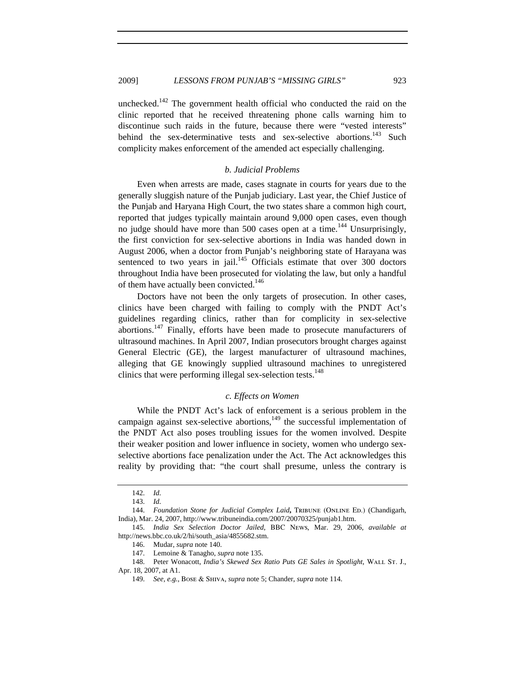unchecked.<sup>142</sup> The government health official who conducted the raid on the clinic reported that he received threatening phone calls warning him to discontinue such raids in the future, because there were "vested interests" behind the sex-determinative tests and sex-selective abortions.<sup>143</sup> Such complicity makes enforcement of the amended act especially challenging.

## *b. Judicial Problems*

Even when arrests are made, cases stagnate in courts for years due to the generally sluggish nature of the Punjab judiciary. Last year, the Chief Justice of the Punjab and Haryana High Court, the two states share a common high court, reported that judges typically maintain around 9,000 open cases, even though no judge should have more than 500 cases open at a time.<sup>144</sup> Unsurprisingly, the first conviction for sex-selective abortions in India was handed down in August 2006, when a doctor from Punjab's neighboring state of Harayana was sentenced to two years in jail.<sup>145</sup> Officials estimate that over 300 doctors throughout India have been prosecuted for violating the law, but only a handful of them have actually been convicted.<sup>146</sup>

Doctors have not been the only targets of prosecution. In other cases, clinics have been charged with failing to comply with the PNDT Act's guidelines regarding clinics, rather than for complicity in sex-selective abortions.<sup>147</sup> Finally, efforts have been made to prosecute manufacturers of ultrasound machines. In April 2007, Indian prosecutors brought charges against General Electric (GE), the largest manufacturer of ultrasound machines, alleging that GE knowingly supplied ultrasound machines to unregistered clinics that were performing illegal sex-selection tests.<sup>148</sup>

#### *c. Effects on Women*

While the PNDT Act's lack of enforcement is a serious problem in the campaign against sex-selective abortions, $149$  the successful implementation of the PNDT Act also poses troubling issues for the women involved. Despite their weaker position and lower influence in society, women who undergo sexselective abortions face penalization under the Act. The Act acknowledges this reality by providing that: "the court shall presume, unless the contrary is

<sup>142.</sup> *Id.*

<sup>143.</sup> *Id.*

<sup>144.</sup> *Foundation Stone for Judicial Complex Laid*, TRIBUNE (ONLINE ED.) (Chandigarh, India), Mar. 24, 2007, http://www.tribuneindia.com/2007/20070325/punjab1.htm.

<sup>145.</sup> *India Sex Selection Doctor Jailed*, BBC News, Mar. 29, 2006, *available at*  http://news.bbc.co.uk/2/hi/south\_asia/4855682.stm.

<sup>146.</sup> Mudar, *supra* note 140.

<sup>147.</sup> Lemoine & Tanagho, *supra* note 135.

<sup>148.</sup> Peter Wonacott, *India's Skewed Sex Ratio Puts GE Sales in Spotlight*, WALL ST. J., Apr. 18, 2007, at A1.

<sup>149.</sup> *See, e.g.*, Bose & Shiva, *supra* note 5; Chander, *supra* note 114.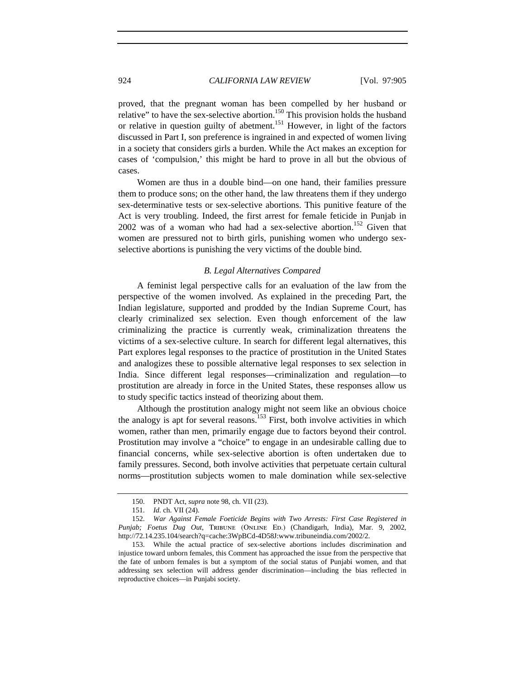proved, that the pregnant woman has been compelled by her husband or relative" to have the sex-selective abortion.<sup>150</sup> This provision holds the husband or relative in question guilty of abetment.<sup>151</sup> However, in light of the factors discussed in Part I, son preference is ingrained in and expected of women living in a society that considers girls a burden. While the Act makes an exception for cases of 'compulsion,' this might be hard to prove in all but the obvious of cases.

Women are thus in a double bind—on one hand, their families pressure them to produce sons; on the other hand, the law threatens them if they undergo sex-determinative tests or sex-selective abortions. This punitive feature of the Act is very troubling. Indeed, the first arrest for female feticide in Punjab in 2002 was of a woman who had had a sex-selective abortion.<sup>152</sup> Given that women are pressured not to birth girls, punishing women who undergo sexselective abortions is punishing the very victims of the double bind.

#### *B. Legal Alternatives Compared*

A feminist legal perspective calls for an evaluation of the law from the perspective of the women involved. As explained in the preceding Part, the Indian legislature, supported and prodded by the Indian Supreme Court, has clearly criminalized sex selection. Even though enforcement of the law criminalizing the practice is currently weak, criminalization threatens the victims of a sex-selective culture. In search for different legal alternatives, this Part explores legal responses to the practice of prostitution in the United States and analogizes these to possible alternative legal responses to sex selection in India. Since different legal responses—criminalization and regulation—to prostitution are already in force in the United States, these responses allow us to study specific tactics instead of theorizing about them.

Although the prostitution analogy might not seem like an obvious choice the analogy is apt for several reasons.<sup>153</sup> First, both involve activities in which women, rather than men, primarily engage due to factors beyond their control. Prostitution may involve a "choice" to engage in an undesirable calling due to financial concerns, while sex-selective abortion is often undertaken due to family pressures. Second, both involve activities that perpetuate certain cultural norms—prostitution subjects women to male domination while sex-selective

<sup>150.</sup> PNDT Act, *supra* note 98, ch. VII (23).

<sup>151.</sup> *Id.* ch. VII (24).

<sup>152.</sup> *War Against Female Foeticide Begins with Two Arrests: First Case Registered in Punjab; Foetus Dug Out*, Tribune (Online Ed.) (Chandigarh, India), Mar. 9, 2002, http://72.14.235.104/search?q=cache:3WpBCd-4D58J:www.tribuneindia.com/2002/2.

<sup>153.</sup> While the actual practice of sex-selective abortions includes discrimination and injustice toward unborn females, this Comment has approached the issue from the perspective that the fate of unborn females is but a symptom of the social status of Punjabi women, and that addressing sex selection will address gender discrimination—including the bias reflected in reproductive choices—in Punjabi society.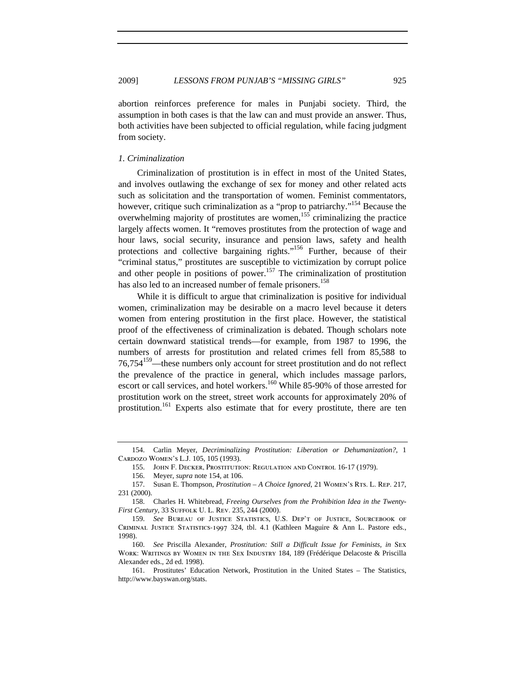abortion reinforces preference for males in Punjabi society. Third, the assumption in both cases is that the law can and must provide an answer. Thus, both activities have been subjected to official regulation, while facing judgment from society.

#### *1. Criminalization*

Criminalization of prostitution is in effect in most of the United States, and involves outlawing the exchange of sex for money and other related acts such as solicitation and the transportation of women. Feminist commentators, however, critique such criminalization as a "prop to patriarchy."<sup>154</sup> Because the overwhelming majority of prostitutes are women,<sup>155</sup> criminalizing the practice largely affects women. It "removes prostitutes from the protection of wage and hour laws, social security, insurance and pension laws, safety and health protections and collective bargaining rights."<sup>156</sup> Further, because of their "criminal status," prostitutes are susceptible to victimization by corrupt police and other people in positions of power.<sup>157</sup> The criminalization of prostitution has also led to an increased number of female prisoners.<sup>158</sup>

While it is difficult to argue that criminalization is positive for individual women, criminalization may be desirable on a macro level because it deters women from entering prostitution in the first place. However, the statistical proof of the effectiveness of criminalization is debated. Though scholars note certain downward statistical trends—for example, from 1987 to 1996, the numbers of arrests for prostitution and related crimes fell from 85,588 to 76,754159—these numbers only account for street prostitution and do not reflect the prevalence of the practice in general, which includes massage parlors, escort or call services, and hotel workers.<sup>160</sup> While 85-90% of those arrested for prostitution work on the street, street work accounts for approximately 20% of prostitution.<sup>161</sup> Experts also estimate that for every prostitute, there are ten

<sup>154.</sup> Carlin Meyer, *Decriminalizing Prostitution: Liberation or Dehumanization?*, 1 Cardozo Women's L.J. 105, 105 (1993).

<sup>155.</sup> John F. Decker, Prostitution: Regulation and Control 16-17 (1979).

<sup>156.</sup> Meyer, *supra* note 154, at 106.

<sup>157.</sup> Susan E. Thompson, *Prostitution – A Choice Ignored*, 21 WOMEN's RTs. L. REP. 217, 231 (2000).

<sup>158.</sup> Charles H. Whitebread, *Freeing Ourselves from the Prohibition Idea in the Twenty-First Century*, 33 Suffolk U. L. Rev. 235, 244 (2000).

<sup>159.</sup> *See* Bureau of Justice Statistics, U.S. Dep't of Justice, Sourcebook of Criminal Justice Statistics-1997 324, tbl. 4.1 (Kathleen Maguire & Ann L. Pastore eds., 1998).

<sup>160.</sup> *See* Priscilla Alexander, *Prostitution: Still a Difficult Issue for Feminists, in* Sex Work: Writings by Women in the Sex Industry 184, 189 (Frédérique Delacoste & Priscilla Alexander eds., 2d ed. 1998).

<sup>161.</sup> Prostitutes' Education Network, Prostitution in the United States – The Statistics, http://www.bayswan.org/stats.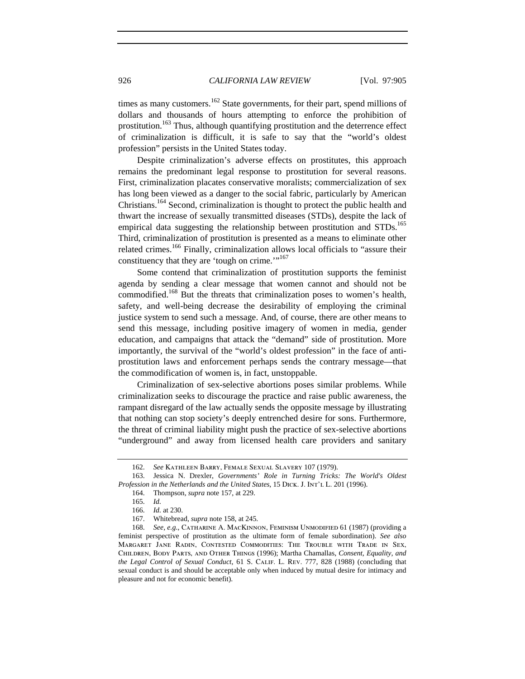times as many customers.<sup>162</sup> State governments, for their part, spend millions of dollars and thousands of hours attempting to enforce the prohibition of prostitution.<sup>163</sup> Thus, although quantifying prostitution and the deterrence effect of criminalization is difficult, it is safe to say that the "world's oldest profession" persists in the United States today.

Despite criminalization's adverse effects on prostitutes, this approach remains the predominant legal response to prostitution for several reasons. First, criminalization placates conservative moralists; commercialization of sex has long been viewed as a danger to the social fabric, particularly by American Christians.164 Second, criminalization is thought to protect the public health and thwart the increase of sexually transmitted diseases (STDs), despite the lack of empirical data suggesting the relationship between prostitution and  $STDs$ <sup>165</sup> Third, criminalization of prostitution is presented as a means to eliminate other related crimes.<sup>166</sup> Finally, criminalization allows local officials to "assure their constituency that they are 'tough on crime.'"<sup>167</sup>

Some contend that criminalization of prostitution supports the feminist agenda by sending a clear message that women cannot and should not be commodified.<sup>168</sup> But the threats that criminalization poses to women's health, safety, and well-being decrease the desirability of employing the criminal justice system to send such a message. And, of course, there are other means to send this message, including positive imagery of women in media, gender education, and campaigns that attack the "demand" side of prostitution. More importantly, the survival of the "world's oldest profession" in the face of antiprostitution laws and enforcement perhaps sends the contrary message—that the commodification of women is, in fact, unstoppable.

Criminalization of sex-selective abortions poses similar problems. While criminalization seeks to discourage the practice and raise public awareness, the rampant disregard of the law actually sends the opposite message by illustrating that nothing can stop society's deeply entrenched desire for sons. Furthermore, the threat of criminal liability might push the practice of sex-selective abortions "underground" and away from licensed health care providers and sanitary

<sup>162.</sup> *See* Kathleen Barry, Female Sexual Slavery 107 (1979).

<sup>163.</sup> Jessica N. Drexler, *Governments' Role in Turning Tricks: The World's Oldest Profession in the Netherlands and the United States*, 15 DICK. J. INT'L L. 201 (1996).

<sup>164.</sup> Thompson, *supra* note 157, at 229.

<sup>165.</sup> *Id.*

<sup>166.</sup> *Id.* at 230.

<sup>167.</sup> Whitebread, *supra* note 158, at 245.

<sup>168.</sup> *See, e.g.*, Catharine A. MacKinnon, Feminism Unmodified 61 (1987) (providing a feminist perspective of prostitution as the ultimate form of female subordination). *See also* Margaret Jane Radin, Contested Commodities: The Trouble with Trade in Sex, Children, Body Parts, and Other Things (1996); Martha Chamallas, *Consent, Equality, and the Legal Control of Sexual Conduct*, 61 S. Calif. L. Rev. 777, 828 (1988) (concluding that sexual conduct is and should be acceptable only when induced by mutual desire for intimacy and pleasure and not for economic benefit).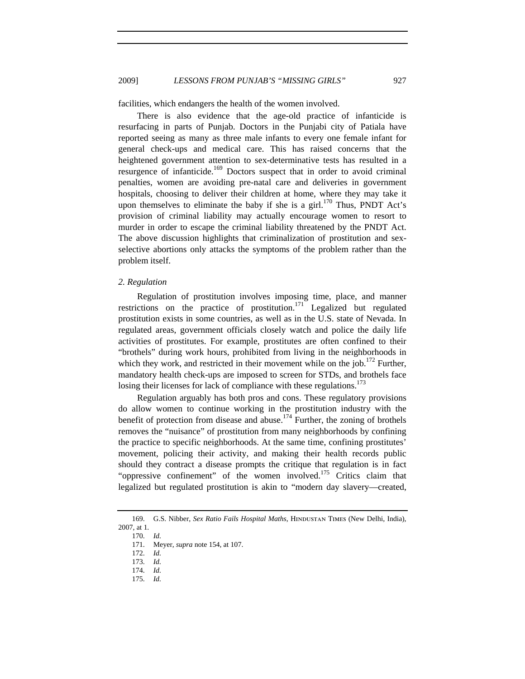facilities, which endangers the health of the women involved.

There is also evidence that the age-old practice of infanticide is resurfacing in parts of Punjab. Doctors in the Punjabi city of Patiala have reported seeing as many as three male infants to every one female infant for general check-ups and medical care. This has raised concerns that the heightened government attention to sex-determinative tests has resulted in a resurgence of infanticide.<sup>169</sup> Doctors suspect that in order to avoid criminal penalties, women are avoiding pre-natal care and deliveries in government hospitals, choosing to deliver their children at home, where they may take it upon themselves to eliminate the baby if she is a girl.<sup>170</sup> Thus, PNDT Act's provision of criminal liability may actually encourage women to resort to murder in order to escape the criminal liability threatened by the PNDT Act. The above discussion highlights that criminalization of prostitution and sexselective abortions only attacks the symptoms of the problem rather than the problem itself.

### *2. Regulation*

Regulation of prostitution involves imposing time, place, and manner restrictions on the practice of prostitution.<sup>171</sup> Legalized but regulated prostitution exists in some countries, as well as in the U.S. state of Nevada. In regulated areas, government officials closely watch and police the daily life activities of prostitutes. For example, prostitutes are often confined to their "brothels" during work hours, prohibited from living in the neighborhoods in which they work, and restricted in their movement while on the job.<sup>172</sup> Further, mandatory health check-ups are imposed to screen for STDs, and brothels face losing their licenses for lack of compliance with these regulations.<sup>173</sup>

Regulation arguably has both pros and cons. These regulatory provisions do allow women to continue working in the prostitution industry with the benefit of protection from disease and abuse.174 Further, the zoning of brothels removes the "nuisance" of prostitution from many neighborhoods by confining the practice to specific neighborhoods. At the same time, confining prostitutes' movement, policing their activity, and making their health records public should they contract a disease prompts the critique that regulation is in fact "oppressive confinement" of the women involved.<sup>175</sup> Critics claim that legalized but regulated prostitution is akin to "modern day slavery—created,

170. *Id.*

171. Meyer, *supra* note 154, at 107.

- 172. *Id.*
- 173. *Id.*
- 174. *Id.*
- 175. *Id.*

<sup>169.</sup> G.S. Nibber, *Sex Ratio Fails Hospital Maths*, HINDUSTAN TIMES (New Delhi, India), 2007, at 1.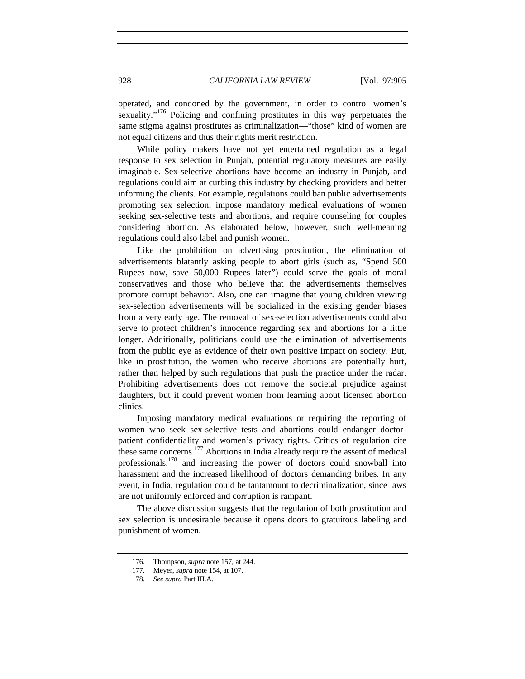operated, and condoned by the government, in order to control women's sexuality."<sup>176</sup> Policing and confining prostitutes in this way perpetuates the same stigma against prostitutes as criminalization—"those" kind of women are not equal citizens and thus their rights merit restriction.

While policy makers have not yet entertained regulation as a legal response to sex selection in Punjab, potential regulatory measures are easily imaginable. Sex-selective abortions have become an industry in Punjab, and regulations could aim at curbing this industry by checking providers and better informing the clients. For example, regulations could ban public advertisements promoting sex selection, impose mandatory medical evaluations of women seeking sex-selective tests and abortions, and require counseling for couples considering abortion. As elaborated below, however, such well-meaning regulations could also label and punish women.

Like the prohibition on advertising prostitution, the elimination of advertisements blatantly asking people to abort girls (such as, "Spend 500 Rupees now, save 50,000 Rupees later") could serve the goals of moral conservatives and those who believe that the advertisements themselves promote corrupt behavior. Also, one can imagine that young children viewing sex-selection advertisements will be socialized in the existing gender biases from a very early age. The removal of sex-selection advertisements could also serve to protect children's innocence regarding sex and abortions for a little longer. Additionally, politicians could use the elimination of advertisements from the public eye as evidence of their own positive impact on society. But, like in prostitution, the women who receive abortions are potentially hurt, rather than helped by such regulations that push the practice under the radar. Prohibiting advertisements does not remove the societal prejudice against daughters, but it could prevent women from learning about licensed abortion clinics.

Imposing mandatory medical evaluations or requiring the reporting of women who seek sex-selective tests and abortions could endanger doctorpatient confidentiality and women's privacy rights. Critics of regulation cite these same concerns.177 Abortions in India already require the assent of medical professionals,<sup>178</sup> and increasing the power of doctors could snowball into harassment and the increased likelihood of doctors demanding bribes. In any event, in India, regulation could be tantamount to decriminalization, since laws are not uniformly enforced and corruption is rampant.

The above discussion suggests that the regulation of both prostitution and sex selection is undesirable because it opens doors to gratuitous labeling and punishment of women.

<sup>176.</sup> Thompson, *supra* note 157, at 244.

<sup>177.</sup> Meyer, *supra* note 154, at 107.

<sup>178.</sup> *See supra* Part III.A.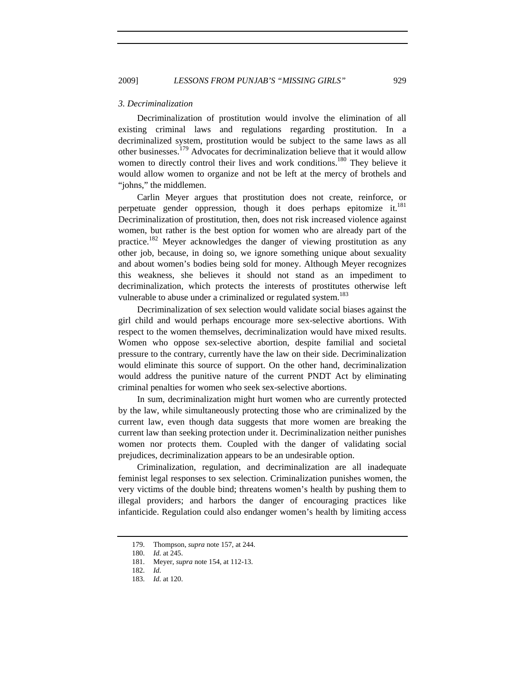#### *3. Decriminalization*

Decriminalization of prostitution would involve the elimination of all existing criminal laws and regulations regarding prostitution. In a decriminalized system, prostitution would be subject to the same laws as all other businesses.<sup>179</sup> Advocates for decriminalization believe that it would allow women to directly control their lives and work conditions.<sup>180</sup> They believe it would allow women to organize and not be left at the mercy of brothels and "johns," the middlemen.

Carlin Meyer argues that prostitution does not create, reinforce, or perpetuate gender oppression, though it does perhaps epitomize it. $^{181}$ Decriminalization of prostitution, then, does not risk increased violence against women, but rather is the best option for women who are already part of the practice.<sup>182</sup> Meyer acknowledges the danger of viewing prostitution as any other job, because, in doing so, we ignore something unique about sexuality and about women's bodies being sold for money. Although Meyer recognizes this weakness, she believes it should not stand as an impediment to decriminalization, which protects the interests of prostitutes otherwise left vulnerable to abuse under a criminalized or regulated system.<sup>183</sup>

Decriminalization of sex selection would validate social biases against the girl child and would perhaps encourage more sex-selective abortions. With respect to the women themselves, decriminalization would have mixed results. Women who oppose sex-selective abortion, despite familial and societal pressure to the contrary, currently have the law on their side. Decriminalization would eliminate this source of support. On the other hand, decriminalization would address the punitive nature of the current PNDT Act by eliminating criminal penalties for women who seek sex-selective abortions.

In sum, decriminalization might hurt women who are currently protected by the law, while simultaneously protecting those who are criminalized by the current law, even though data suggests that more women are breaking the current law than seeking protection under it. Decriminalization neither punishes women nor protects them. Coupled with the danger of validating social prejudices, decriminalization appears to be an undesirable option.

Criminalization, regulation, and decriminalization are all inadequate feminist legal responses to sex selection. Criminalization punishes women, the very victims of the double bind; threatens women's health by pushing them to illegal providers; and harbors the danger of encouraging practices like infanticide. Regulation could also endanger women's health by limiting access

<sup>179.</sup> Thompson, *supra* note 157, at 244.

<sup>180.</sup> *Id.* at 245.

<sup>181.</sup> Meyer, *supra* note 154, at 112-13.

<sup>182.</sup> *Id.*

<sup>183.</sup> *Id.* at 120.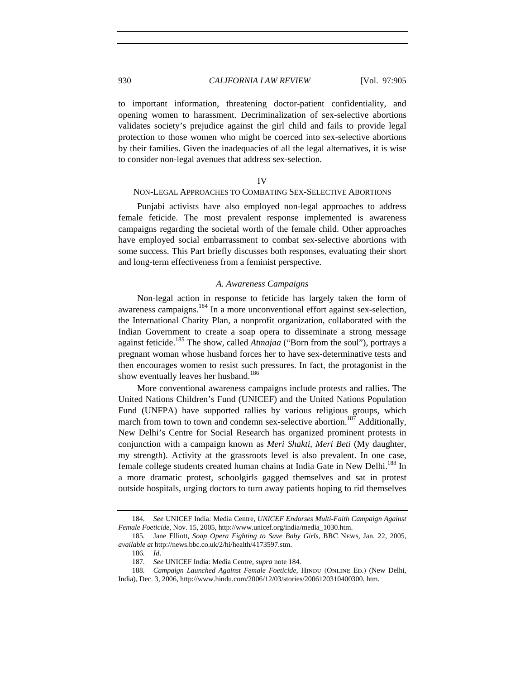to important information, threatening doctor-patient confidentiality, and opening women to harassment. Decriminalization of sex-selective abortions validates society's prejudice against the girl child and fails to provide legal protection to those women who might be coerced into sex-selective abortions by their families. Given the inadequacies of all the legal alternatives, it is wise to consider non-legal avenues that address sex-selection.

#### IV

# NON-LEGAL APPROACHES TO COMBATING SEX-SELECTIVE ABORTIONS

Punjabi activists have also employed non-legal approaches to address female feticide. The most prevalent response implemented is awareness campaigns regarding the societal worth of the female child. Other approaches have employed social embarrassment to combat sex-selective abortions with some success. This Part briefly discusses both responses, evaluating their short and long-term effectiveness from a feminist perspective.

#### *A. Awareness Campaigns*

Non-legal action in response to feticide has largely taken the form of awareness campaigns.184 In a more unconventional effort against sex-selection, the International Charity Plan, a nonprofit organization, collaborated with the Indian Government to create a soap opera to disseminate a strong message against feticide.185 The show, called *Atmajaa* ("Born from the soul"), portrays a pregnant woman whose husband forces her to have sex-determinative tests and then encourages women to resist such pressures. In fact, the protagonist in the show eventually leaves her husband.<sup>186</sup>

More conventional awareness campaigns include protests and rallies. The United Nations Children's Fund (UNICEF) and the United Nations Population Fund (UNFPA) have supported rallies by various religious groups, which march from town to town and condemn sex-selective abortion.<sup>187</sup> Additionally, New Delhi's Centre for Social Research has organized prominent protests in conjunction with a campaign known as *Meri Shakti, Meri Beti* (My daughter, my strength). Activity at the grassroots level is also prevalent. In one case, female college students created human chains at India Gate in New Delhi.<sup>188</sup> In a more dramatic protest, schoolgirls gagged themselves and sat in protest outside hospitals, urging doctors to turn away patients hoping to rid themselves

<sup>184.</sup> *See* UNICEF India: Media Centre, *UNICEF Endorses Multi-Faith Campaign Against Female Foeticide*, Nov. 15, 2005, http://www.unicef.org/india/media\_1030.htm.

<sup>185.</sup> Jane Elliott, *Soap Opera Fighting to Save Baby Girls*, BBC News, Jan. 22, 2005, *available at* http://news.bbc.co.uk/2/hi/health/4173597.stm.

<sup>186.</sup> *Id*.

<sup>187.</sup> *See* UNICEF India: Media Centre, *supra* note 184.

<sup>188.</sup> Campaign Launched Against Female Foeticide, HINDU (ONLINE ED.) (New Delhi, India), Dec. 3, 2006, http://www.hindu.com/2006/12/03/stories/2006120310400300. htm.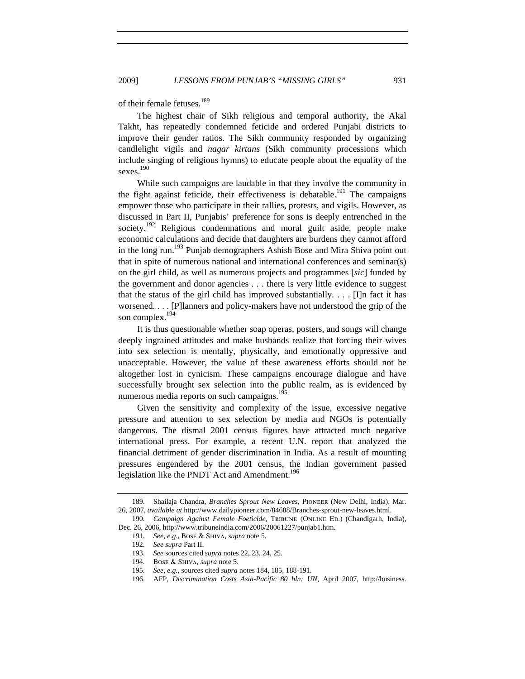of their female fetuses.<sup>189</sup>

The highest chair of Sikh religious and temporal authority, the Akal Takht, has repeatedly condemned feticide and ordered Punjabi districts to improve their gender ratios. The Sikh community responded by organizing candlelight vigils and *nagar kirtans* (Sikh community processions which include singing of religious hymns) to educate people about the equality of the sexes. 190

While such campaigns are laudable in that they involve the community in the fight against feticide, their effectiveness is debatable.<sup>191</sup> The campaigns empower those who participate in their rallies, protests, and vigils. However, as discussed in Part II, Punjabis' preference for sons is deeply entrenched in the society.<sup>192</sup> Religious condemnations and moral guilt aside, people make economic calculations and decide that daughters are burdens they cannot afford in the long run.<sup>193</sup> Punjab demographers Ashish Bose and Mira Shiva point out that in spite of numerous national and international conferences and seminar(s) on the girl child, as well as numerous projects and programmes [*sic*] funded by the government and donor agencies . . . there is very little evidence to suggest that the status of the girl child has improved substantially.  $\ldots$  [I]n fact it has worsened. . . . [P]lanners and policy-makers have not understood the grip of the son complex.<sup>194</sup>

It is thus questionable whether soap operas, posters, and songs will change deeply ingrained attitudes and make husbands realize that forcing their wives into sex selection is mentally, physically, and emotionally oppressive and unacceptable. However, the value of these awareness efforts should not be altogether lost in cynicism. These campaigns encourage dialogue and have successfully brought sex selection into the public realm, as is evidenced by numerous media reports on such campaigns.<sup>195</sup>

Given the sensitivity and complexity of the issue, excessive negative pressure and attention to sex selection by media and NGOs is potentially dangerous. The dismal 2001 census figures have attracted much negative international press. For example, a recent U.N. report that analyzed the financial detriment of gender discrimination in India. As a result of mounting pressures engendered by the 2001 census, the Indian government passed legislation like the PNDT Act and Amendment.<sup>196</sup>

<sup>189.</sup> Shailaja Chandra, *Branches Sprout New Leaves*, Pioneer (New Delhi, India), Mar. 26, 2007, *available at* http://www.dailypioneer.com/84688/Branches-sprout-new-leaves.html.

<sup>190.</sup> *Campaign Against Female Foeticide*, Tribune (Online Ed.) (Chandigarh, India), Dec. 26, 2006, http://www.tribuneindia.com/2006/20061227/punjab1.htm.

<sup>191.</sup> *See, e.g.*, Bose & Shiva, *supra* note 5.

<sup>192.</sup> *See supra* Part II.

<sup>193.</sup> *See* sources cited *supra* notes 22, 23, 24, 25.

<sup>194.</sup> Bose & Shiva, *supra* note 5.

<sup>195.</sup> *See, e.g.*, sources cited *supra* notes 184, 185, 188-191.

<sup>196.</sup> AFP, *Discrimination Costs Asia-Pacific 80 bln: UN*, April 2007, http://business.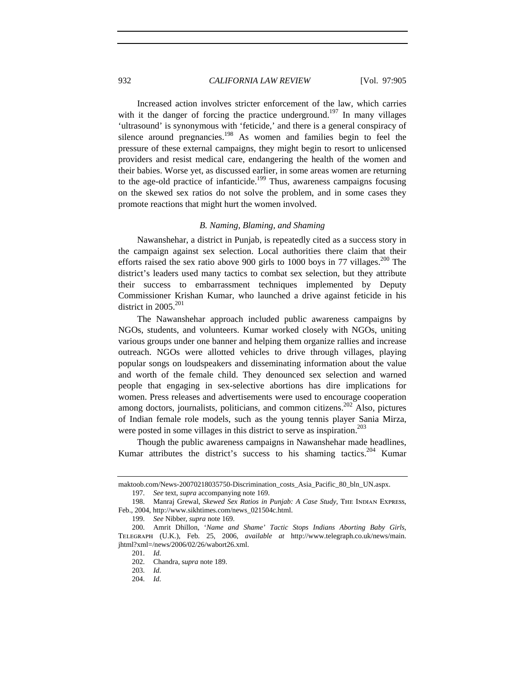Increased action involves stricter enforcement of the law, which carries with it the danger of forcing the practice underground.<sup>197</sup> In many villages 'ultrasound' is synonymous with 'feticide,' and there is a general conspiracy of silence around pregnancies.<sup>198</sup> As women and families begin to feel the pressure of these external campaigns, they might begin to resort to unlicensed providers and resist medical care, endangering the health of the women and their babies. Worse yet, as discussed earlier, in some areas women are returning to the age-old practice of infanticide.<sup>199</sup> Thus, awareness campaigns focusing on the skewed sex ratios do not solve the problem, and in some cases they promote reactions that might hurt the women involved.

## *B. Naming, Blaming, and Shaming*

Nawanshehar, a district in Punjab, is repeatedly cited as a success story in the campaign against sex selection. Local authorities there claim that their efforts raised the sex ratio above 900 girls to 1000 boys in 77 villages.<sup>200</sup> The district's leaders used many tactics to combat sex selection, but they attribute their success to embarrassment techniques implemented by Deputy Commissioner Krishan Kumar, who launched a drive against feticide in his district in 2005. $^{201}$ 

The Nawanshehar approach included public awareness campaigns by NGOs, students, and volunteers. Kumar worked closely with NGOs, uniting various groups under one banner and helping them organize rallies and increase outreach. NGOs were allotted vehicles to drive through villages, playing popular songs on loudspeakers and disseminating information about the value and worth of the female child. They denounced sex selection and warned people that engaging in sex-selective abortions has dire implications for women. Press releases and advertisements were used to encourage cooperation among doctors, journalists, politicians, and common citizens.<sup>202</sup> Also, pictures of Indian female role models, such as the young tennis player Sania Mirza, were posted in some villages in this district to serve as inspiration.<sup>203</sup>

Though the public awareness campaigns in Nawanshehar made headlines, Kumar attributes the district's success to his shaming tactics.<sup>204</sup> Kumar

199. *See* Nibber*, supra* note 169.

204. *Id.*

maktoob.com/News-20070218035750-Discrimination\_costs\_Asia\_Pacific\_80\_bln\_UN.aspx. 197. *See* text, *supra* accompanying note 169.

<sup>198.</sup> Manraj Grewal, *Skewed Sex Ratios in Punjab: A Case Study*, The Indian Express, Feb., 2004, http://www.sikhtimes.com/news\_021504c.html.

<sup>200.</sup> Amrit Dhillon, '*Name and Shame' Tactic Stops Indians Aborting Baby Girls*, Telegraph (U.K.), Feb. 25, 2006, *available at* http://www.telegraph.co.uk/news/main. jhtml?xml=/news/2006/02/26/wabort26.xml.

<sup>201.</sup> *Id.*

<sup>202.</sup> Chandra, s*upra* note 189.

<sup>203.</sup> *Id.*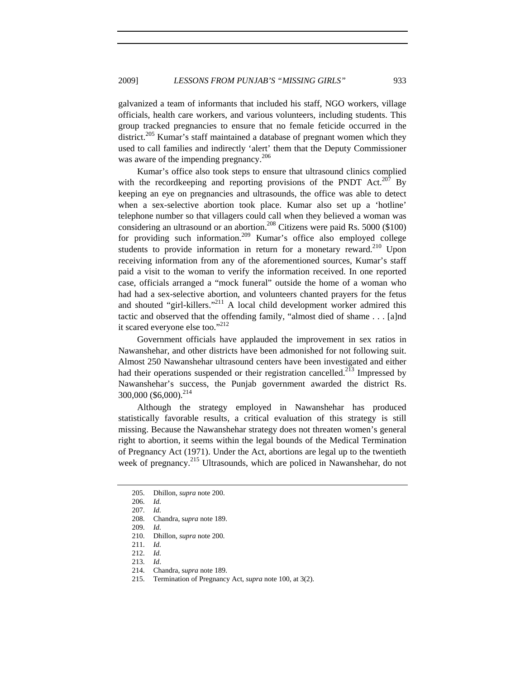galvanized a team of informants that included his staff, NGO workers, village officials, health care workers, and various volunteers, including students. This group tracked pregnancies to ensure that no female feticide occurred in the district.<sup>205</sup> Kumar's staff maintained a database of pregnant women which they used to call families and indirectly 'alert' them that the Deputy Commissioner was aware of the impending pregnancy.<sup>206</sup>

Kumar's office also took steps to ensure that ultrasound clinics complied with the recordkeeping and reporting provisions of the PNDT Act.<sup>207</sup> By keeping an eye on pregnancies and ultrasounds, the office was able to detect when a sex-selective abortion took place. Kumar also set up a 'hotline' telephone number so that villagers could call when they believed a woman was considering an ultrasound or an abortion.<sup>208</sup> Citizens were paid Rs. 5000 (\$100) for providing such information.<sup>209</sup> Kumar's office also employed college students to provide information in return for a monetary reward.<sup>210</sup> Upon receiving information from any of the aforementioned sources, Kumar's staff paid a visit to the woman to verify the information received. In one reported case, officials arranged a "mock funeral" outside the home of a woman who had had a sex-selective abortion, and volunteers chanted prayers for the fetus and shouted "girl-killers."<sup>211</sup> A local child development worker admired this tactic and observed that the offending family, "almost died of shame . . . [a]nd it scared everyone else too."<sup>212</sup>

Government officials have applauded the improvement in sex ratios in Nawanshehar, and other districts have been admonished for not following suit. Almost 250 Nawanshehar ultrasound centers have been investigated and either had their operations suspended or their registration cancelled.<sup>213</sup> Impressed by Nawanshehar's success, the Punjab government awarded the district Rs.  $300,000$  (\$6,000).<sup>214</sup>

Although the strategy employed in Nawanshehar has produced statistically favorable results, a critical evaluation of this strategy is still missing. Because the Nawanshehar strategy does not threaten women's general right to abortion, it seems within the legal bounds of the Medical Termination of Pregnancy Act (1971). Under the Act, abortions are legal up to the twentieth week of pregnancy.<sup>215</sup> Ultrasounds, which are policed in Nawanshehar, do not

211. *Id.*

- 213. *Id*.
- 214. Chandra, s*upra* note 189.

<sup>205.</sup> Dhillon, *supra* note 200.

<sup>206.</sup> *Id.*

<sup>207.</sup> *Id.*

<sup>208.</sup> Chandra, s*upra* note 189.

<sup>209.</sup> *Id.*

<sup>210.</sup> Dhillon, *supra* note 200.

<sup>212.</sup> *Id.*

<sup>215.</sup> Termination of Pregnancy Act, *supra* note 100, at 3(2).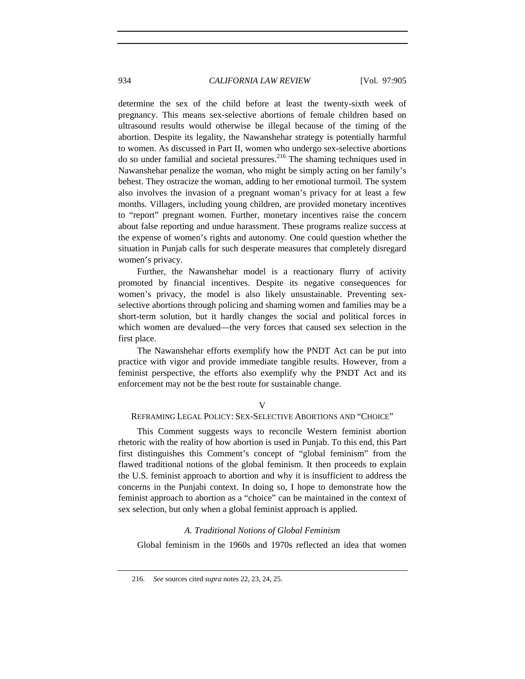determine the sex of the child before at least the twenty-sixth week of pregnancy. This means sex-selective abortions of female children based on ultrasound results would otherwise be illegal because of the timing of the abortion. Despite its legality, the Nawanshehar strategy is potentially harmful to women. As discussed in Part II, women who undergo sex-selective abortions do so under familial and societal pressures. $^{216}$  The shaming techniques used in Nawanshehar penalize the woman, who might be simply acting on her family's behest. They ostracize the woman, adding to her emotional turmoil. The system also involves the invasion of a pregnant woman's privacy for at least a few months. Villagers, including young children, are provided monetary incentives to "report" pregnant women. Further, monetary incentives raise the concern about false reporting and undue harassment. These programs realize success at the expense of women's rights and autonomy. One could question whether the situation in Punjab calls for such desperate measures that completely disregard women's privacy.

Further, the Nawanshehar model is a reactionary flurry of activity promoted by financial incentives. Despite its negative consequences for women's privacy, the model is also likely unsustainable. Preventing sexselective abortions through policing and shaming women and families may be a short-term solution, but it hardly changes the social and political forces in which women are devalued—the very forces that caused sex selection in the first place.

The Nawanshehar efforts exemplify how the PNDT Act can be put into practice with vigor and provide immediate tangible results. However, from a feminist perspective, the efforts also exemplify why the PNDT Act and its enforcement may not be the best route for sustainable change.

#### $\overline{V}$

#### REFRAMING LEGAL POLICY: SEX-SELECTIVE ABORTIONS AND "CHOICE"

This Comment suggests ways to reconcile Western feminist abortion rhetoric with the reality of how abortion is used in Punjab. To this end, this Part first distinguishes this Comment's concept of "global feminism" from the flawed traditional notions of the global feminism. It then proceeds to explain the U.S. feminist approach to abortion and why it is insufficient to address the concerns in the Punjabi context. In doing so, I hope to demonstrate how the feminist approach to abortion as a "choice" can be maintained in the context of sex selection, but only when a global feminist approach is applied.

#### *A. Traditional Notions of Global Feminism*

Global feminism in the 1960s and 1970s reflected an idea that women

<sup>216.</sup> *See* sources cited *supra* notes 22, 23, 24, 25.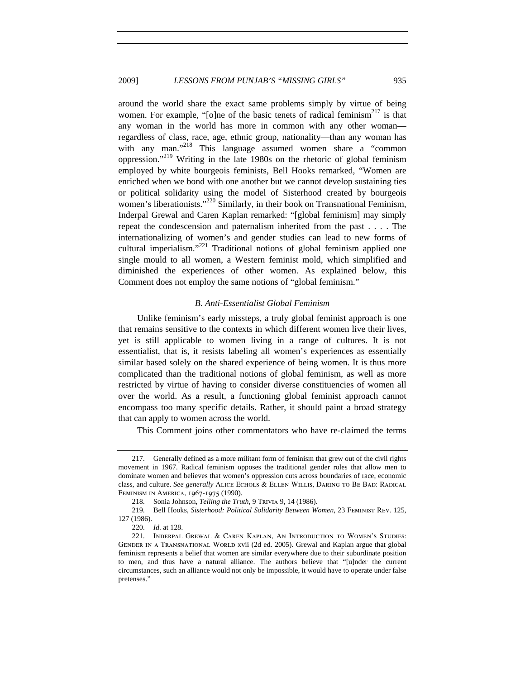around the world share the exact same problems simply by virtue of being women. For example, "[o]ne of the basic tenets of radical feminism $^{217}$  is that any woman in the world has more in common with any other woman regardless of class, race, age, ethnic group, nationality—than any woman has with any man."<sup>218</sup> This language assumed women share a "common oppression."<sup>219</sup> Writing in the late 1980s on the rhetoric of global feminism employed by white bourgeois feminists, Bell Hooks remarked, "Women are enriched when we bond with one another but we cannot develop sustaining ties or political solidarity using the model of Sisterhood created by bourgeois women's liberationists."<sup>220</sup> Similarly, in their book on Transnational Feminism, Inderpal Grewal and Caren Kaplan remarked: "[global feminism] may simply repeat the condescension and paternalism inherited from the past . . . . The internationalizing of women's and gender studies can lead to new forms of cultural imperialism. $1221$  Traditional notions of global feminism applied one single mould to all women, a Western feminist mold, which simplified and diminished the experiences of other women. As explained below, this Comment does not employ the same notions of "global feminism."

## *B. Anti-Essentialist Global Feminism*

Unlike feminism's early missteps, a truly global feminist approach is one that remains sensitive to the contexts in which different women live their lives, yet is still applicable to women living in a range of cultures. It is not essentialist, that is, it resists labeling all women's experiences as essentially similar based solely on the shared experience of being women. It is thus more complicated than the traditional notions of global feminism, as well as more restricted by virtue of having to consider diverse constituencies of women all over the world. As a result, a functioning global feminist approach cannot encompass too many specific details. Rather, it should paint a broad strategy that can apply to women across the world.

This Comment joins other commentators who have re-claimed the terms

<sup>217.</sup> Generally defined as a more militant form of feminism that grew out of the civil rights movement in 1967. Radical feminism opposes the traditional gender roles that allow men to dominate women and believes that women's oppression cuts across boundaries of race, economic class, and culture. *See generally* Alice Echols & Ellen Willis, Daring to Be Bad: Radical Feminism in America, 1967-1975 (1990).

<sup>218.</sup> Sonia Johnson, *Telling the Truth*, 9 Trivia 9, 14 (1986).

<sup>219.</sup> Bell Hooks, *Sisterhood: Political Solidarity Between Women*, 23 Feminist Rev. 125, 127 (1986).

<sup>220.</sup> *Id.* at 128.

<sup>221.</sup> Inderpal Grewal & Caren Kaplan, An Introduction to Women's Studies: Gender in a Transnational World xvii (2d ed. 2005). Grewal and Kaplan argue that global feminism represents a belief that women are similar everywhere due to their subordinate position to men, and thus have a natural alliance. The authors believe that "[u]nder the current circumstances, such an alliance would not only be impossible, it would have to operate under false pretenses."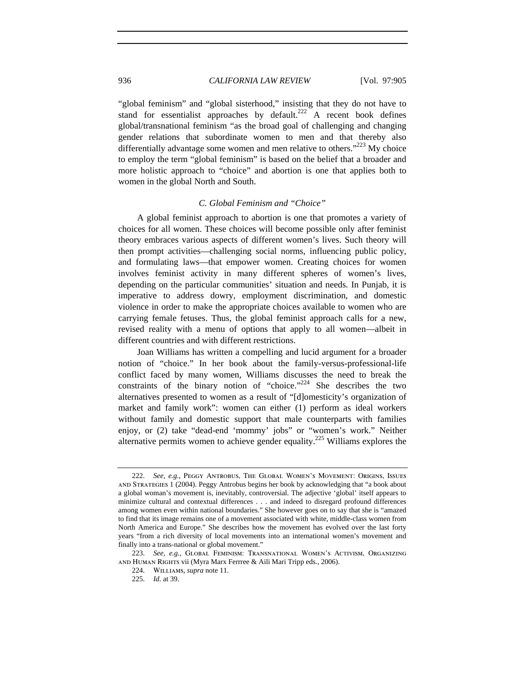"global feminism" and "global sisterhood," insisting that they do not have to stand for essentialist approaches by default.<sup>222</sup> A recent book defines global/transnational feminism "as the broad goal of challenging and changing gender relations that subordinate women to men and that thereby also differentially advantage some women and men relative to others."<sup>223</sup> My choice to employ the term "global feminism" is based on the belief that a broader and more holistic approach to "choice" and abortion is one that applies both to women in the global North and South.

## *C. Global Feminism and "Choice"*

A global feminist approach to abortion is one that promotes a variety of choices for all women. These choices will become possible only after feminist theory embraces various aspects of different women's lives. Such theory will then prompt activities—challenging social norms, influencing public policy, and formulating laws—that empower women. Creating choices for women involves feminist activity in many different spheres of women's lives, depending on the particular communities' situation and needs. In Punjab, it is imperative to address dowry, employment discrimination, and domestic violence in order to make the appropriate choices available to women who are carrying female fetuses. Thus, the global feminist approach calls for a new, revised reality with a menu of options that apply to all women—albeit in different countries and with different restrictions.

Joan Williams has written a compelling and lucid argument for a broader notion of "choice." In her book about the family-versus-professional-life conflict faced by many women, Williams discusses the need to break the constraints of the binary notion of "choice."<sup>224</sup> She describes the two alternatives presented to women as a result of "[d]omesticity's organization of market and family work": women can either (1) perform as ideal workers without family and domestic support that male counterparts with families enjoy, or (2) take "dead-end 'mommy' jobs" or "women's work." Neither alternative permits women to achieve gender equality.<sup>225</sup> Williams explores the

<sup>222.</sup> *See, e.g.*, Peggy Antrobus, The Global Women's Movement: Origins, Issues and Strategies 1 (2004). Peggy Antrobus begins her book by acknowledging that "a book about a global woman's movement is, inevitably, controversial. The adjective 'global' itself appears to minimize cultural and contextual differences . . . and indeed to disregard profound differences among women even within national boundaries." She however goes on to say that she is "amazed to find that its image remains one of a movement associated with white, middle-class women from North America and Europe." She describes how the movement has evolved over the last forty years "from a rich diversity of local movements into an international women's movement and finally into a trans-national or global movement."

<sup>223.</sup> *See, e.g.*, Global Feminism: Transnational Women's Activism, Organizing and Human Rights vii (Myra Marx Ferrree & Aili Mari Tripp eds., 2006).

<sup>224.</sup> Williams, *supra* note 11.

<sup>225.</sup> *Id.* at 39.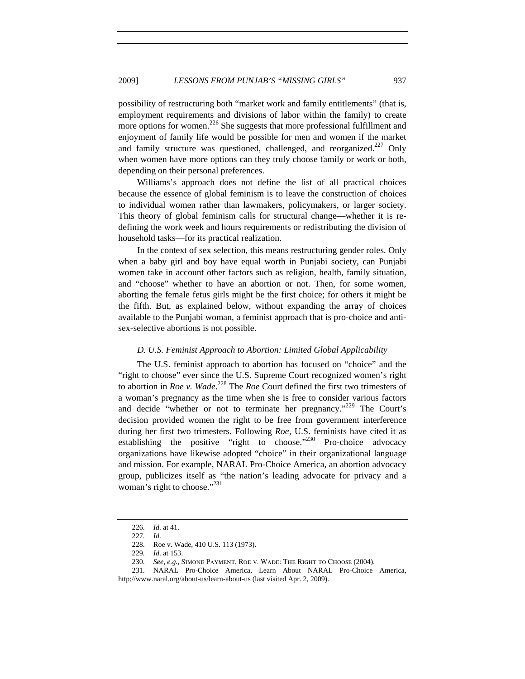possibility of restructuring both "market work and family entitlements" (that is, employment requirements and divisions of labor within the family) to create more options for women.<sup>226</sup> She suggests that more professional fulfillment and enjoyment of family life would be possible for men and women if the market and family structure was questioned, challenged, and reorganized.<sup>227</sup> Only when women have more options can they truly choose family or work or both, depending on their personal preferences.

Williams's approach does not define the list of all practical choices because the essence of global feminism is to leave the construction of choices to individual women rather than lawmakers, policymakers, or larger society. This theory of global feminism calls for structural change—whether it is redefining the work week and hours requirements or redistributing the division of household tasks—for its practical realization.

In the context of sex selection, this means restructuring gender roles. Only when a baby girl and boy have equal worth in Punjabi society, can Punjabi women take in account other factors such as religion, health, family situation, and "choose" whether to have an abortion or not. Then, for some women, aborting the female fetus girls might be the first choice; for others it might be the fifth. But, as explained below, without expanding the array of choices available to the Punjabi woman, a feminist approach that is pro-choice and antisex-selective abortions is not possible.

### *D. U.S. Feminist Approach to Abortion: Limited Global Applicability*

The U.S. feminist approach to abortion has focused on "choice" and the "right to choose" ever since the U.S. Supreme Court recognized women's right to abortion in *Roe v. Wade*. 228 The *Roe* Court defined the first two trimesters of a woman's pregnancy as the time when she is free to consider various factors and decide "whether or not to terminate her pregnancy."<sup>229</sup> The Court's decision provided women the right to be free from government interference during her first two trimesters. Following *Roe*, U.S. feminists have cited it as establishing the positive "right to choose."<sup>230</sup> Pro-choice advocacy organizations have likewise adopted "choice" in their organizational language and mission. For example, NARAL Pro-Choice America, an abortion advocacy group, publicizes itself as "the nation's leading advocate for privacy and a woman's right to choose."<sup>231</sup>

229. *Id.* at 153.

<sup>226.</sup> *Id.* at 41.

<sup>227.</sup> *Id.*

<sup>228.</sup> Roe v. Wade, 410 U.S. 113 (1973).

<sup>230.</sup> *See, e.g.*, Simone Payment, Roe v. Wade: The Right to Choose (2004).

<sup>231.</sup> NARAL Pro-Choice America, Learn About NARAL Pro-Choice America, http://www.naral.org/about-us/learn-about-us (last visited Apr. 2, 2009).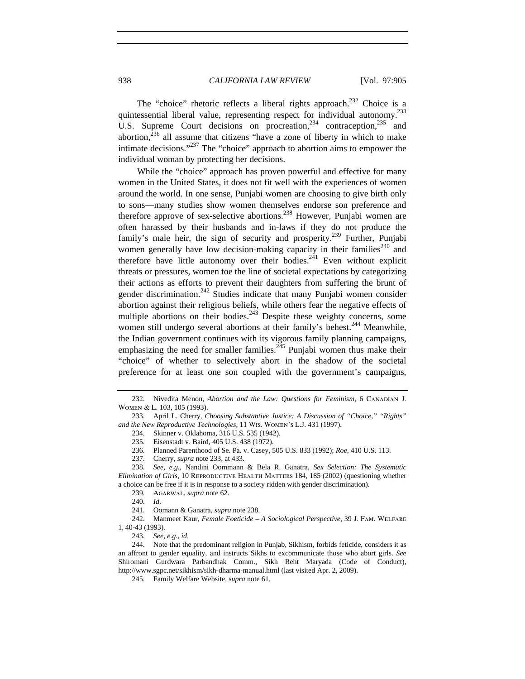The "choice" rhetoric reflects a liberal rights approach.<sup>232</sup> Choice is a quintessential liberal value, representing respect for individual autonomy.233 U.S. Supreme Court decisions on procreation,  $234$  contraception,  $235$  and abortion, $236$  all assume that citizens "have a zone of liberty in which to make intimate decisions."<sup>237</sup> The "choice" approach to abortion aims to empower the individual woman by protecting her decisions.

While the "choice" approach has proven powerful and effective for many women in the United States, it does not fit well with the experiences of women around the world. In one sense, Punjabi women are choosing to give birth only to sons—many studies show women themselves endorse son preference and therefore approve of sex-selective abortions.<sup>238</sup> However, Punjabi women are often harassed by their husbands and in-laws if they do not produce the family's male heir, the sign of security and prosperity.<sup>239</sup> Further, Punjabi women generally have low decision-making capacity in their families<sup> $240$ </sup> and therefore have little autonomy over their bodies. $2^{24}$  Even without explicit threats or pressures, women toe the line of societal expectations by categorizing their actions as efforts to prevent their daughters from suffering the brunt of gender discrimination.<sup>242</sup> Studies indicate that many Punjabi women consider abortion against their religious beliefs, while others fear the negative effects of multiple abortions on their bodies. $243$  Despite these weighty concerns, some women still undergo several abortions at their family's behest.<sup>244</sup> Meanwhile, the Indian government continues with its vigorous family planning campaigns, emphasizing the need for smaller families.<sup>245</sup> Punjabi women thus make their "choice" of whether to selectively abort in the shadow of the societal preference for at least one son coupled with the government's campaigns,

- 236. Planned Parenthood of Se. Pa. v. Casey, 505 U.S. 833 (1992); *Roe*, 410 U.S. 113.
- 237. Cherry, *supra* note 233, at 433.

238. *See, e.g.*, Nandini Oommann & Bela R. Ganatra, *Sex Selection: The Systematic Elimination of Girls*, 10 REPRODUCTIVE HEALTH MATTERS 184, 185 (2002) (questioning whether a choice can be free if it is in response to a society ridden with gender discrimination).

239. Agarwal, *supra* note 62.

240. *Id.*

241. Oomann & Ganatra, *supra* note 238.

242. Manmeet Kaur, *Female Foeticide – A Sociological Perspective*, 39 J. Fam. Welfare 1, 40-43 (1993).

243. *See, e.g.*, *id.*

244. Note that the predominant religion in Punjab, Sikhism, forbids feticide, considers it as an affront to gender equality, and instructs Sikhs to excommunicate those who abort girls. *See*  Shiromani Gurdwara Parbandhak Comm., Sikh Reht Maryada (Code of Conduct), http://www.sgpc.net/sikhism/sikh-dharma-manual.html (last visited Apr. 2, 2009).

245. Family Welfare Website, s*upra* note 61.

<sup>232.</sup> Nivedita Menon, *Abortion and the Law: Questions for Feminism*, 6 Canadian J. Women & L. 103, 105 (1993).

<sup>233.</sup> April L. Cherry, *Choosing Substantive Justice: A Discussion of "Choice," "Rights" and the New Reproductive Technologies*, 11 Wis. Women's L.J. 431 (1997).

<sup>234.</sup> Skinner v. Oklahoma, 316 U.S. 535 (1942).

<sup>235.</sup> Eisenstadt v. Baird, 405 U.S. 438 (1972).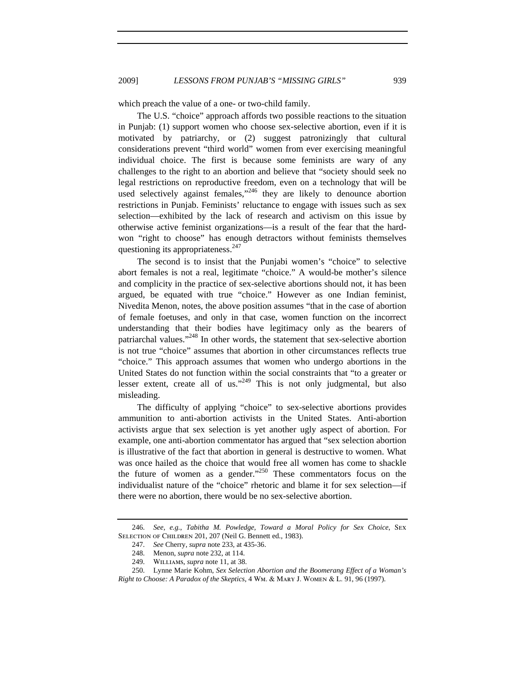which preach the value of a one- or two-child family.

The U.S. "choice" approach affords two possible reactions to the situation in Punjab: (1) support women who choose sex-selective abortion, even if it is motivated by patriarchy, or (2) suggest patronizingly that cultural considerations prevent "third world" women from ever exercising meaningful individual choice. The first is because some feminists are wary of any challenges to the right to an abortion and believe that "society should seek no legal restrictions on reproductive freedom, even on a technology that will be used selectively against females,"<sup>246</sup> they are likely to denounce abortion restrictions in Punjab. Feminists' reluctance to engage with issues such as sex selection—exhibited by the lack of research and activism on this issue by otherwise active feminist organizations—is a result of the fear that the hardwon "right to choose" has enough detractors without feminists themselves questioning its appropriateness.<sup>247</sup>

The second is to insist that the Punjabi women's "choice" to selective abort females is not a real, legitimate "choice." A would-be mother's silence and complicity in the practice of sex-selective abortions should not, it has been argued, be equated with true "choice." However as one Indian feminist, Nivedita Menon, notes, the above position assumes "that in the case of abortion of female foetuses, and only in that case, women function on the incorrect understanding that their bodies have legitimacy only as the bearers of patriarchal values."<sup>248</sup> In other words, the statement that sex-selective abortion is not true "choice" assumes that abortion in other circumstances reflects true "choice." This approach assumes that women who undergo abortions in the United States do not function within the social constraints that "to a greater or lesser extent, create all of us."<sup>249</sup> This is not only judgmental, but also misleading.

The difficulty of applying "choice" to sex-selective abortions provides ammunition to anti-abortion activists in the United States. Anti-abortion activists argue that sex selection is yet another ugly aspect of abortion. For example, one anti-abortion commentator has argued that "sex selection abortion is illustrative of the fact that abortion in general is destructive to women. What was once hailed as the choice that would free all women has come to shackle the future of women as a gender."<sup>250</sup> These commentators focus on the individualist nature of the "choice" rhetoric and blame it for sex selection—if there were no abortion, there would be no sex-selective abortion.

<sup>246.</sup> *See, e.g.*, *Tabitha M. Powledge, Toward a Moral Policy for Sex Choice*, Sex SELECTION OF CHILDREN 201, 207 (Neil G. Bennett ed., 1983).

<sup>247.</sup> *See* Cherry, *supra* note 233, at 435-36.

<sup>248.</sup> Menon, *supra* note 232, at 114.

<sup>249.</sup> Williams, *supra* note 11, at 38.

<sup>250.</sup> Lynne Marie Kohm, *Sex Selection Abortion and the Boomerang Effect of a Woman's Right to Choose: A Paradox of the Skeptics*, 4 Wm. & Mary J. Women & L. 91, 96 (1997).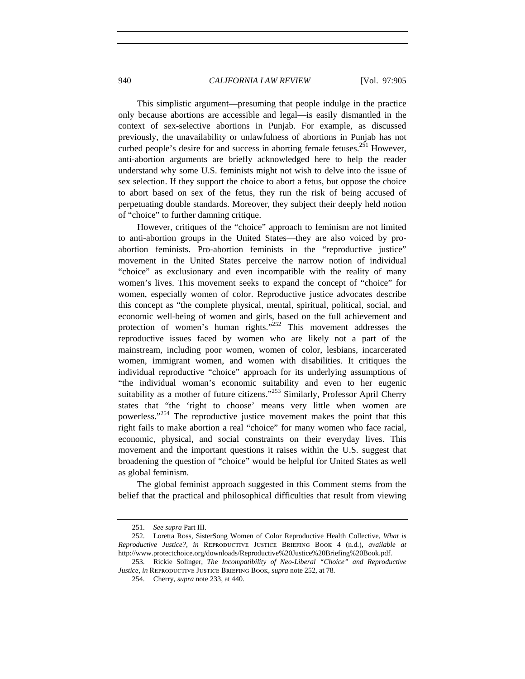This simplistic argument—presuming that people indulge in the practice only because abortions are accessible and legal—is easily dismantled in the context of sex-selective abortions in Punjab. For example, as discussed previously, the unavailability or unlawfulness of abortions in Punjab has not curbed people's desire for and success in aborting female fetuses.<sup>251</sup> However, anti-abortion arguments are briefly acknowledged here to help the reader understand why some U.S. feminists might not wish to delve into the issue of sex selection. If they support the choice to abort a fetus, but oppose the choice to abort based on sex of the fetus, they run the risk of being accused of perpetuating double standards. Moreover, they subject their deeply held notion of "choice" to further damning critique.

However, critiques of the "choice" approach to feminism are not limited to anti-abortion groups in the United States—they are also voiced by proabortion feminists. Pro-abortion feminists in the "reproductive justice" movement in the United States perceive the narrow notion of individual "choice" as exclusionary and even incompatible with the reality of many women's lives. This movement seeks to expand the concept of "choice" for women, especially women of color. Reproductive justice advocates describe this concept as "the complete physical, mental, spiritual, political, social, and economic well-being of women and girls, based on the full achievement and protection of women's human rights." $252$  This movement addresses the reproductive issues faced by women who are likely not a part of the mainstream, including poor women, women of color, lesbians, incarcerated women, immigrant women, and women with disabilities. It critiques the individual reproductive "choice" approach for its underlying assumptions of "the individual woman's economic suitability and even to her eugenic suitability as a mother of future citizens."<sup>253</sup> Similarly, Professor April Cherry states that "the 'right to choose' means very little when women are powerless."254 The reproductive justice movement makes the point that this right fails to make abortion a real "choice" for many women who face racial, economic, physical, and social constraints on their everyday lives. This movement and the important questions it raises within the U.S. suggest that broadening the question of "choice" would be helpful for United States as well as global feminism.

The global feminist approach suggested in this Comment stems from the belief that the practical and philosophical difficulties that result from viewing

<sup>251.</sup> *See supra* Part III.

<sup>252.</sup> Loretta Ross, SisterSong Women of Color Reproductive Health Collective, *What is Reproductive Justice?*, *in* Reproductive Justice Briefing Book 4 (n.d.), *available at*  http://www.protectchoice.org/downloads/Reproductive%20Justice%20Briefing%20Book.pdf.

<sup>253.</sup> Rickie Solinger, *The Incompatibility of Neo-Liberal "Choice" and Reproductive Justice*, *in* Reproductive Justice Briefing Book, *supra* note 252, at 78.

<sup>254.</sup> Cherry, *supra* note 233, at 440.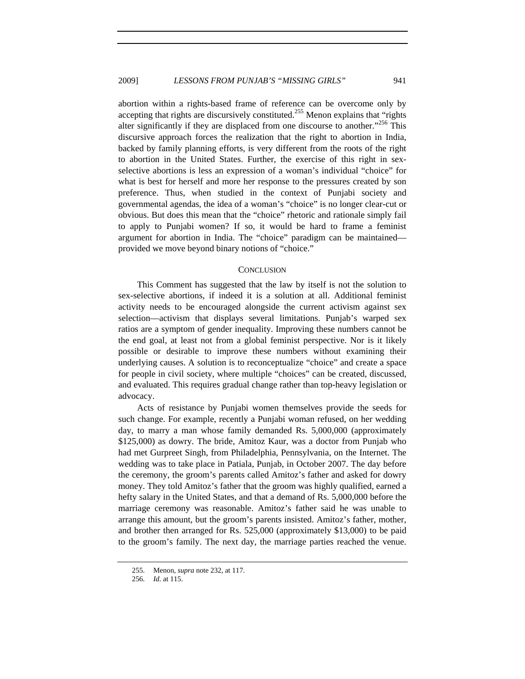abortion within a rights-based frame of reference can be overcome only by accepting that rights are discursively constituted.<sup>255</sup> Menon explains that "rights" alter significantly if they are displaced from one discourse to another."<sup>256</sup> This discursive approach forces the realization that the right to abortion in India, backed by family planning efforts, is very different from the roots of the right to abortion in the United States. Further, the exercise of this right in sexselective abortions is less an expression of a woman's individual "choice" for what is best for herself and more her response to the pressures created by son preference. Thus, when studied in the context of Punjabi society and governmental agendas, the idea of a woman's "choice" is no longer clear-cut or obvious. But does this mean that the "choice" rhetoric and rationale simply fail to apply to Punjabi women? If so, it would be hard to frame a feminist argument for abortion in India. The "choice" paradigm can be maintained provided we move beyond binary notions of "choice."

#### **CONCLUSION**

This Comment has suggested that the law by itself is not the solution to sex-selective abortions, if indeed it is a solution at all. Additional feminist activity needs to be encouraged alongside the current activism against sex selection—activism that displays several limitations. Punjab's warped sex ratios are a symptom of gender inequality. Improving these numbers cannot be the end goal, at least not from a global feminist perspective. Nor is it likely possible or desirable to improve these numbers without examining their underlying causes. A solution is to reconceptualize "choice" and create a space for people in civil society, where multiple "choices" can be created, discussed, and evaluated. This requires gradual change rather than top-heavy legislation or advocacy.

Acts of resistance by Punjabi women themselves provide the seeds for such change. For example, recently a Punjabi woman refused, on her wedding day, to marry a man whose family demanded Rs. 5,000,000 (approximately \$125,000) as dowry. The bride, Amitoz Kaur, was a doctor from Punjab who had met Gurpreet Singh, from Philadelphia, Pennsylvania, on the Internet. The wedding was to take place in Patiala, Punjab, in October 2007. The day before the ceremony, the groom's parents called Amitoz's father and asked for dowry money. They told Amitoz's father that the groom was highly qualified, earned a hefty salary in the United States, and that a demand of Rs. 5,000,000 before the marriage ceremony was reasonable. Amitoz's father said he was unable to arrange this amount, but the groom's parents insisted. Amitoz's father, mother, and brother then arranged for Rs. 525,000 (approximately \$13,000) to be paid to the groom's family. The next day, the marriage parties reached the venue.

<sup>255.</sup> Menon, *supra* note 232, at 117.

<sup>256.</sup> *Id.* at 115.